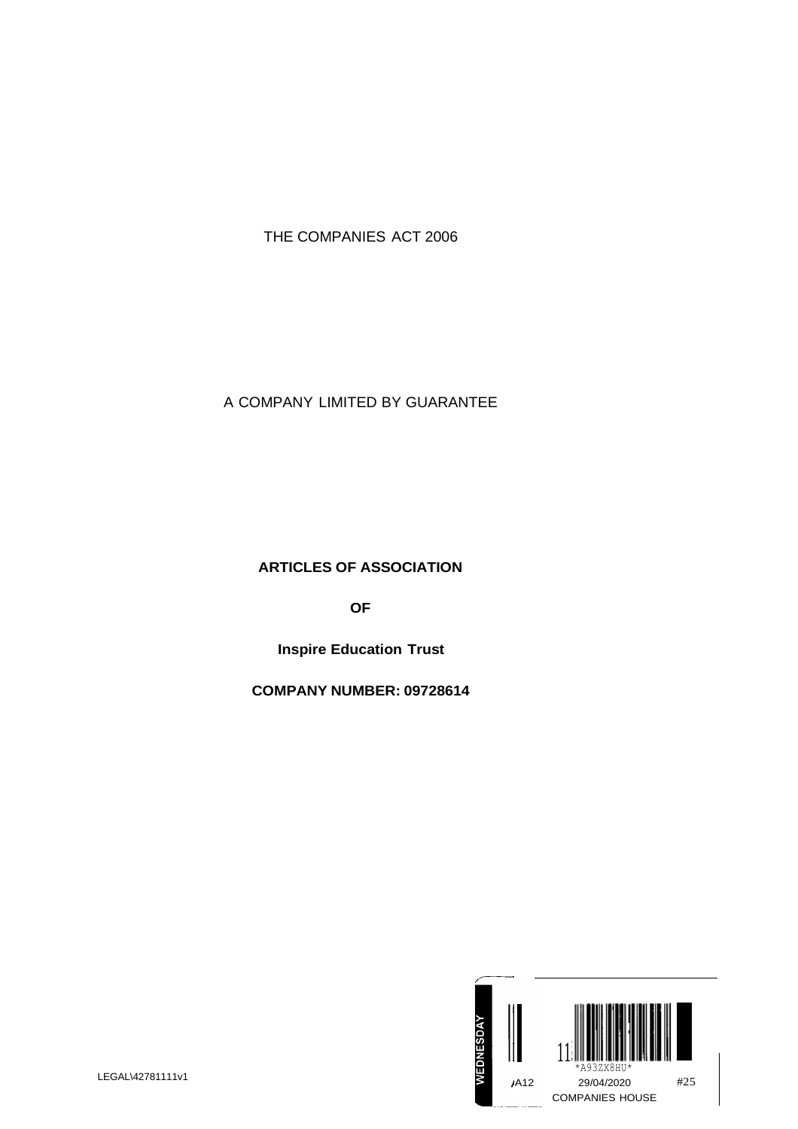# THE COMPANIES ACT 2006

A COMPANY LIMITED BY GUARANTEE

**ARTICLES OF ASSOCIATION**

**OF**

**Inspire Education Trust**

**COMPANY NUMBER: 09728614**

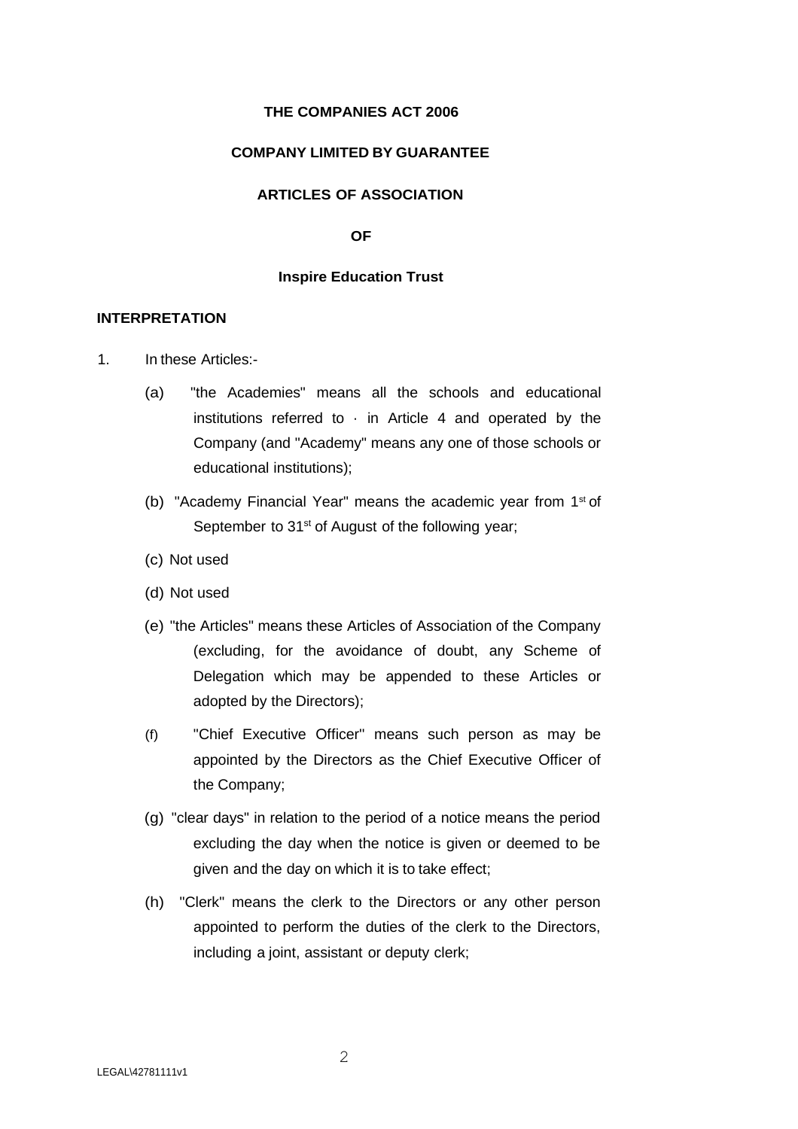## **THE COMPANIES ACT 2006**

## **COMPANY LIMITED BY GUARANTEE**

## **ARTICLES OF ASSOCIATION**

#### **OF**

## **Inspire Education Trust**

# **INTERPRETATION**

- 1. In these Articles:-
	- (a) "the Academies" means all the schools and educational institutions referred to  $\cdot$  in Article 4 and operated by the Company (and "Academy" means any one of those schools or educational institutions);
	- (b) "Academy Financial Year" means the academic year from 1<sup>st</sup> of September to 31<sup>st</sup> of August of the following year;
	- (c) Not used
	- (d) Not used
	- (e) "the Articles" means these Articles of Association of the Company (excluding, for the avoidance of doubt, any Scheme of Delegation which may be appended to these Articles or adopted by the Directors);
	- (f) "Chief Executive Officer'' means such person as may be appointed by the Directors as the Chief Executive Officer of the Company;
	- (g) "clear days" in relation to the period of a notice means the period excluding the day when the notice is given or deemed to be given and the day on which it is to take effect;
	- (h) "Clerk" means the clerk to the Directors or any other person appointed to perform the duties of the clerk to the Directors, including a joint, assistant or deputy clerk;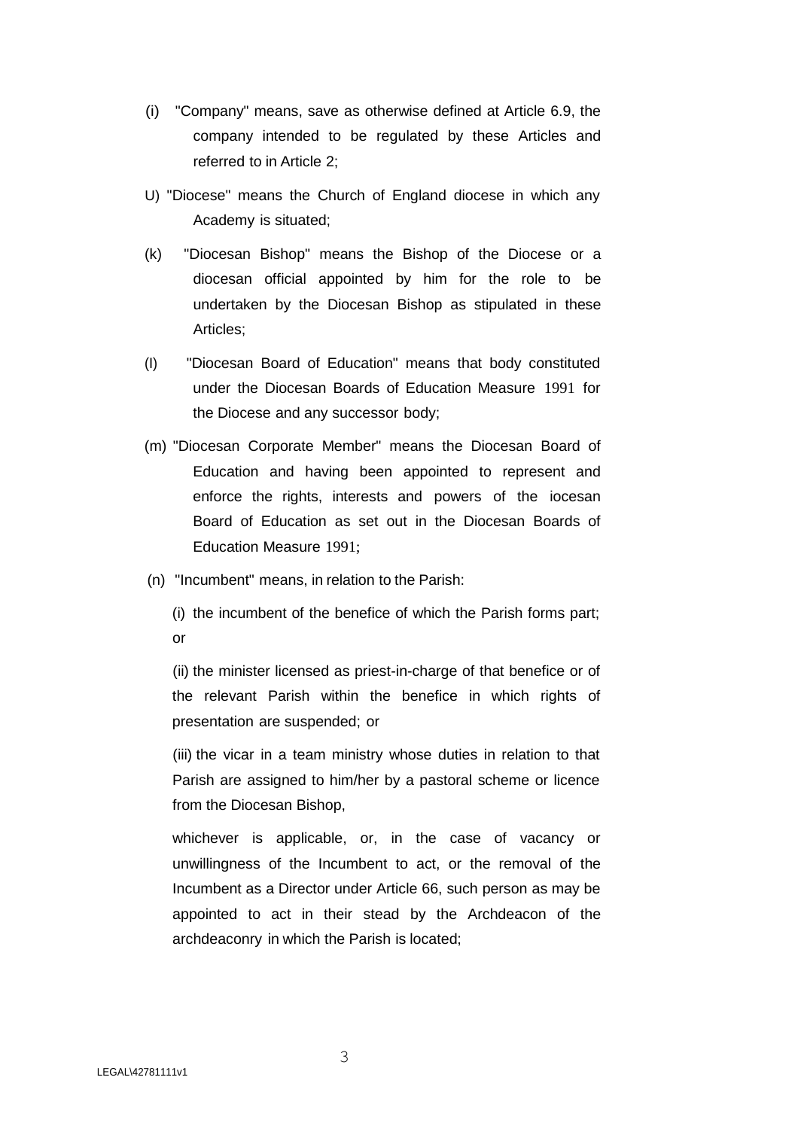- (i) "Company" means, save as otherwise defined at Article 6.9, the company intended to be regulated by these Articles and referred to in Article 2;
- U) "Diocese" means the Church of England diocese in which any Academy is situated;
- (k) "Diocesan Bishop" means the Bishop of the Diocese or a diocesan official appointed by him for the role to be undertaken by the Diocesan Bishop as stipulated in these Articles;
- (I) "Diocesan Board of Education" means that body constituted under the Diocesan Boards of Education Measure 1991 for the Diocese and any successor body;
- (m) "Diocesan Corporate Member" means the Diocesan Board of Education and having been appointed to represent and enforce the rights, interests and powers of the iocesan Board of Education as set out in the Diocesan Boards of Education Measure 1991;
- (n) "Incumbent" means, in relation to the Parish:

(i) the incumbent of the benefice of which the Parish forms part; or

(ii) the minister licensed as priest-in-charge of that benefice or of the relevant Parish within the benefice in which rights of presentation are suspended; or

(iii) the vicar in a team ministry whose duties in relation to that Parish are assigned to him/her by a pastoral scheme or licence from the Diocesan Bishop,

whichever is applicable, or, in the case of vacancy or unwillingness of the Incumbent to act, or the removal of the Incumbent as a Director under Article 66, such person as may be appointed to act in their stead by the Archdeacon of the archdeaconry in which the Parish is located;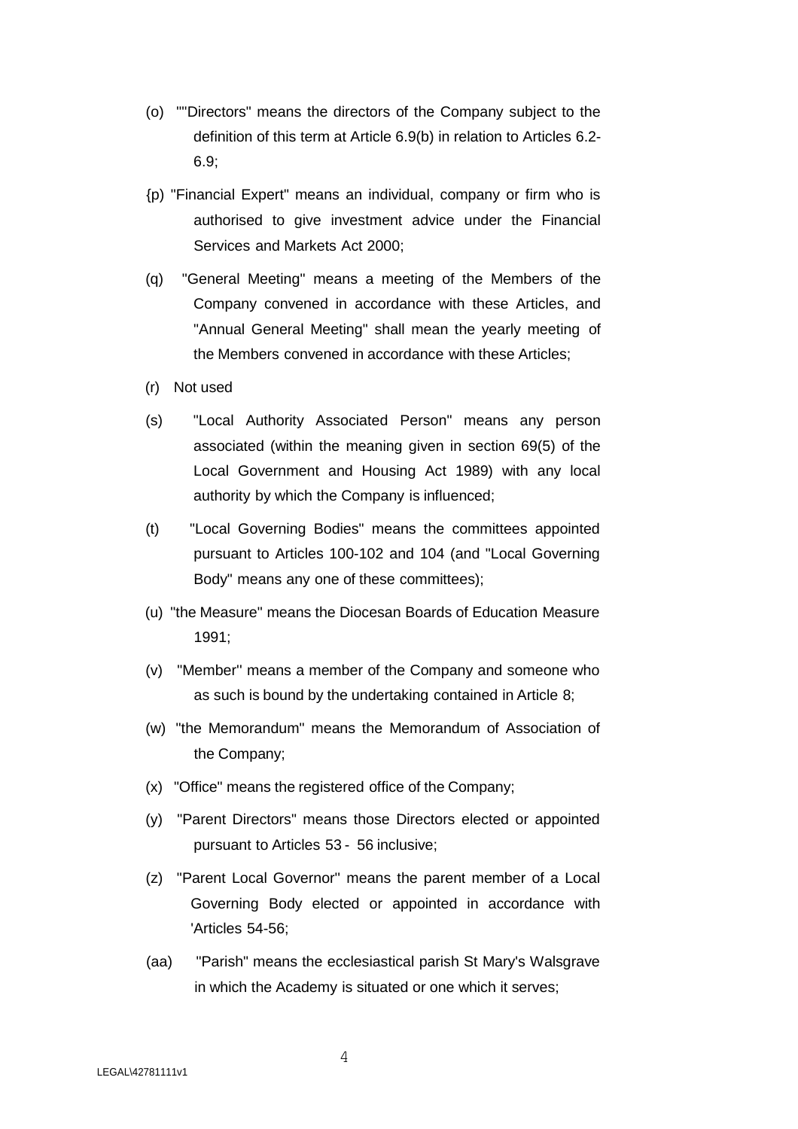- (o) '"'Directors" means the directors of the Company subject to the definition of this term at Article 6.9(b) in relation to Articles 6.2- 6.9;
- {p) "Financial Expert" means an individual, company or firm who is authorised to give investment advice under the Financial Services and Markets Act 2000;
- (q) "General Meeting" means a meeting of the Members of the Company convened in accordance with these Articles, and "Annual General Meeting" shall mean the yearly meeting of the Members convened in accordance with these Articles;
- (r) Not used
- (s) "Local Authority Associated Person" means any person associated (within the meaning given in section 69(5) of the Local Government and Housing Act 1989) with any local authority by which the Company is influenced;
- (t) "Local Governing Bodies" means the committees appointed pursuant to Articles 100-102 and 104 (and "Local Governing Body" means any one of these committees);
- (u) "the Measure" means the Diocesan Boards of Education Measure 1991;
- (v) "Member'' means a member of the Company and someone who as such is bound by the undertaking contained in Article 8;
- (w) "the Memorandum" means the Memorandum of Association of the Company;
- (x) "Office" means the registered office of the Company;
- (y) "Parent Directors" means those Directors elected or appointed pursuant to Articles 53 - 56 inclusive;
- (z) "Parent Local Governor'' means the parent member of a Local Governing Body elected or appointed in accordance with 'Articles 54-56;
- (aa) "Parish" means the ecclesiastical parish St Mary's Walsgrave in which the Academy is situated or one which it serves;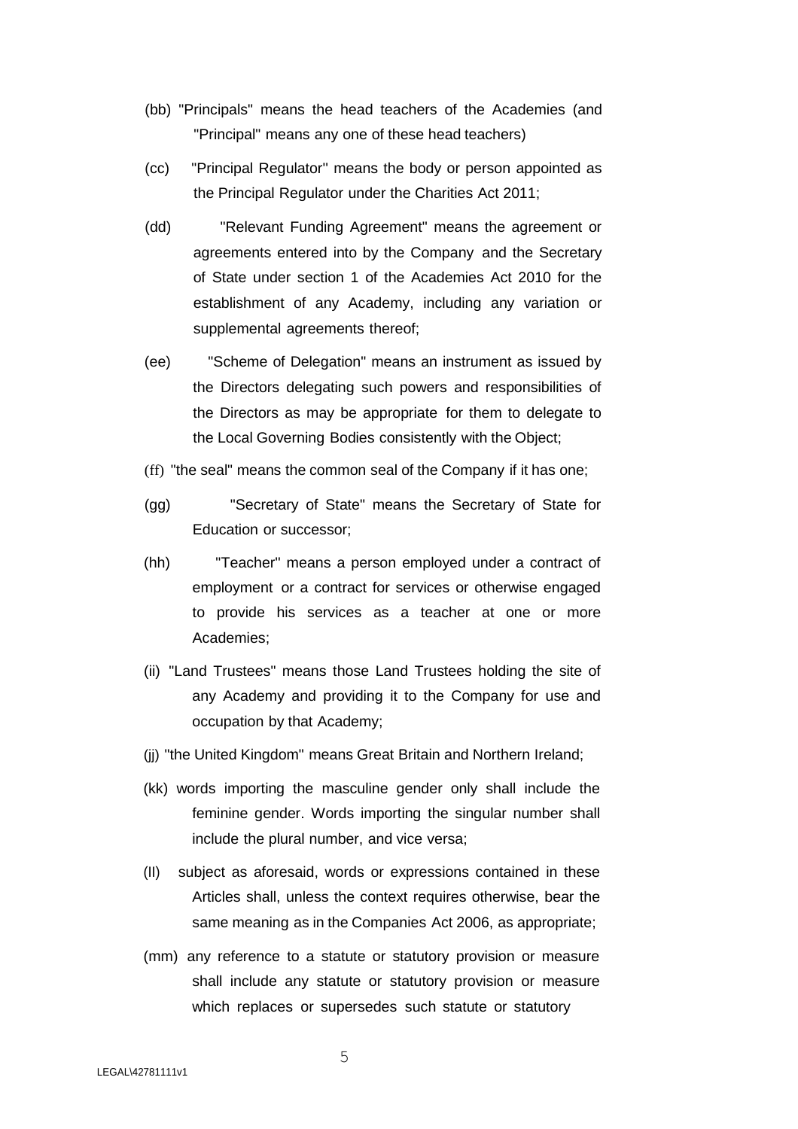- (bb) "Principals" means the head teachers of the Academies (and "Principal" means any one of these head teachers)
- (cc) "Principal Regulator'' means the body or person appointed as the Principal Regulator under the Charities Act 2011;
- (dd) "Relevant Funding Agreement" means the agreement or agreements entered into by the Company and the Secretary of State under section 1 of the Academies Act 2010 for the establishment of any Academy, including any variation or supplemental agreements thereof;
- (ee) "Scheme of Delegation" means an instrument as issued by the Directors delegating such powers and responsibilities of the Directors as may be appropriate for them to delegate to the Local Governing Bodies consistently with the Object;
- (ff) "the seal" means the common seal of the Company if it has one;
- (gg) "Secretary of State" means the Secretary of State for Education or successor;
- (hh) "Teacher'' means a person employed under a contract of employment or a contract for services or otherwise engaged to provide his services as a teacher at one or more Academies;
- (ii) "Land Trustees" means those Land Trustees holding the site of any Academy and providing it to the Company for use and occupation by that Academy;
- (jj) "the United Kingdom" means Great Britain and Northern Ireland;
- (kk) words importing the masculine gender only shall include the feminine gender. Words importing the singular number shall include the plural number, and vice versa;
- (II) subject as aforesaid, words or expressions contained in these Articles shall, unless the context requires otherwise, bear the same meaning as in the Companies Act 2006, as appropriate;
- (mm) any reference to a statute or statutory provision or measure shall include any statute or statutory provision or measure which replaces or supersedes such statute or statutory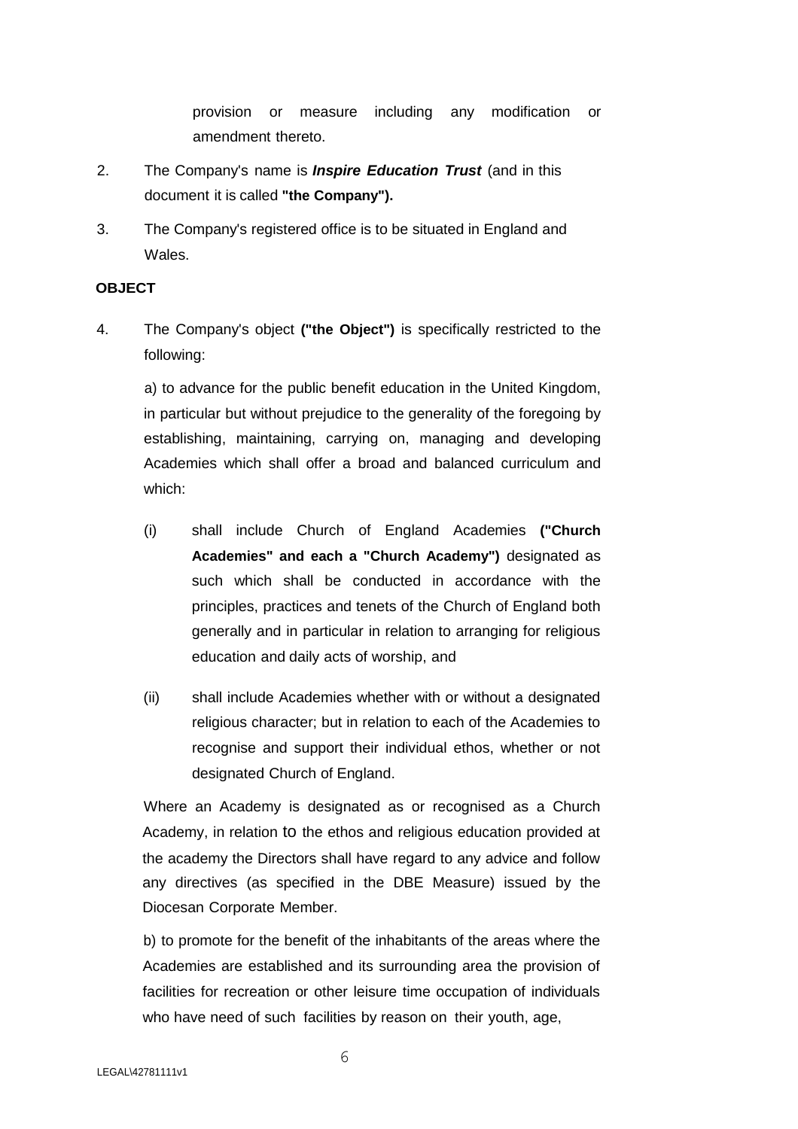provision or measure including any modification or amendment thereto.

- 2. The Company's name is *Inspire Education Trust* (and in this document it is called **"the Company").**
- 3. The Company's registered office is to be situated in England and Wales.

# **OBJECT**

4. The Company's object **("the Object")** is specifically restricted to the following:

a) to advance for the public benefit education in the United Kingdom, in particular but without prejudice to the generality of the foregoing by establishing, maintaining, carrying on, managing and developing Academies which shall offer a broad and balanced curriculum and which:

- (i) shall include Church of England Academies **("Church Academies" and each a "Church Academy")** designated as such which shall be conducted in accordance with the principles, practices and tenets of the Church of England both generally and in particular in relation to arranging for religious education and daily acts of worship, and
- (ii) shall include Academies whether with or without a designated religious character; but in relation to each of the Academies to recognise and support their individual ethos, whether or not designated Church of England.

Where an Academy is designated as or recognised as a Church Academy, in relation to the ethos and religious education provided at the academy the Directors shall have regard to any advice and follow any directives (as specified in the DBE Measure) issued by the Diocesan Corporate Member.

b) to promote for the benefit of the inhabitants of the areas where the Academies are established and its surrounding area the provision of facilities for recreation or other leisure time occupation of individuals who have need of such facilities by reason on their youth, age,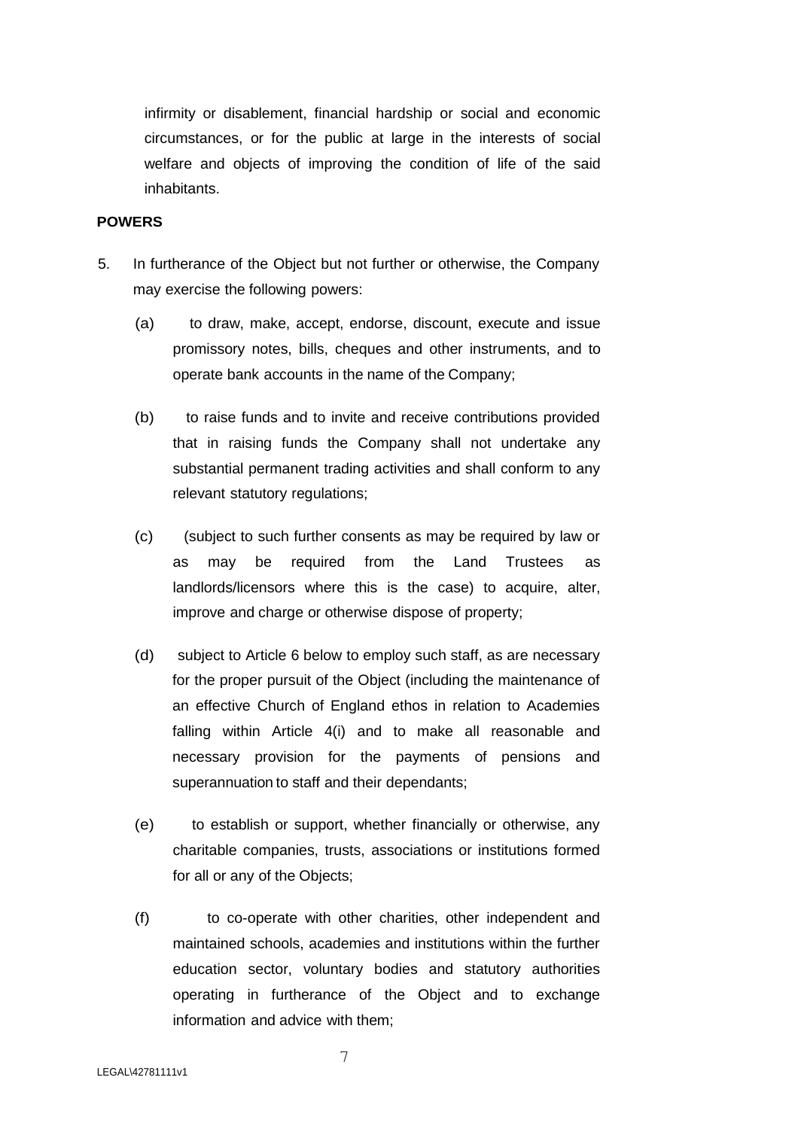infirmity or disablement, financial hardship or social and economic circumstances, or for the public at large in the interests of social welfare and objects of improving the condition of life of the said inhabitants.

## **POWERS**

- 5. In furtherance of the Object but not further or otherwise, the Company may exercise the following powers:
	- (a) to draw, make, accept, endorse, discount, execute and issue promissory notes, bills, cheques and other instruments, and to operate bank accounts in the name of the Company;
	- (b) to raise funds and to invite and receive contributions provided that in raising funds the Company shall not undertake any substantial permanent trading activities and shall conform to any relevant statutory regulations;
	- (c) (subject to such further consents as may be required by law or as may be required from the Land Trustees as landlords/licensors where this is the case) to acquire, alter, improve and charge or otherwise dispose of property;
	- (d) subject to Article 6 below to employ such staff, as are necessary for the proper pursuit of the Object (including the maintenance of an effective Church of England ethos in relation to Academies falling within Article 4(i) and to make all reasonable and necessary provision for the payments of pensions and superannuation to staff and their dependants;
	- (e) to establish or support, whether financially or otherwise, any charitable companies, trusts, associations or institutions formed for all or any of the Objects;
	- (f) to co-operate with other charities, other independent and maintained schools, academies and institutions within the further education sector, voluntary bodies and statutory authorities operating in furtherance of the Object and to exchange information and advice with them;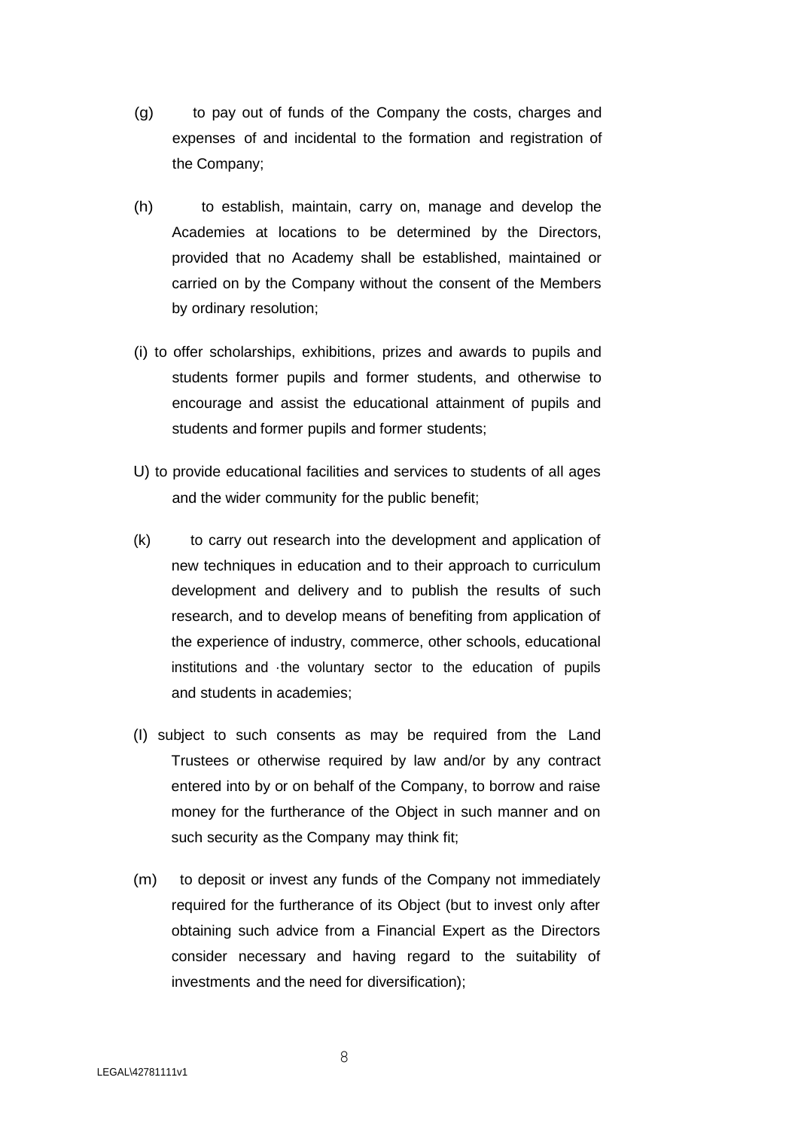- (g) to pay out of funds of the Company the costs, charges and expenses of and incidental to the formation and registration of the Company;
- (h) to establish, maintain, carry on, manage and develop the Academies at locations to be determined by the Directors, provided that no Academy shall be established, maintained or carried on by the Company without the consent of the Members by ordinary resolution;
- (i) to offer scholarships, exhibitions, prizes and awards to pupils and students former pupils and former students, and otherwise to encourage and assist the educational attainment of pupils and students and former pupils and former students;
- U) to provide educational facilities and services to students of all ages and the wider community for the public benefit;
- (k) to carry out research into the development and application of new techniques in education and to their approach to curriculum development and delivery and to publish the results of such research, and to develop means of benefiting from application of the experience of industry, commerce, other schools, educational institutions and ·the voluntary sector to the education of pupils and students in academies;
- (I) subject to such consents as may be required from the Land Trustees or otherwise required by law and/or by any contract entered into by or on behalf of the Company, to borrow and raise money for the furtherance of the Object in such manner and on such security as the Company may think fit;
- (m) to deposit or invest any funds of the Company not immediately required for the furtherance of its Object (but to invest only after obtaining such advice from a Financial Expert as the Directors consider necessary and having regard to the suitability of investments and the need for diversification);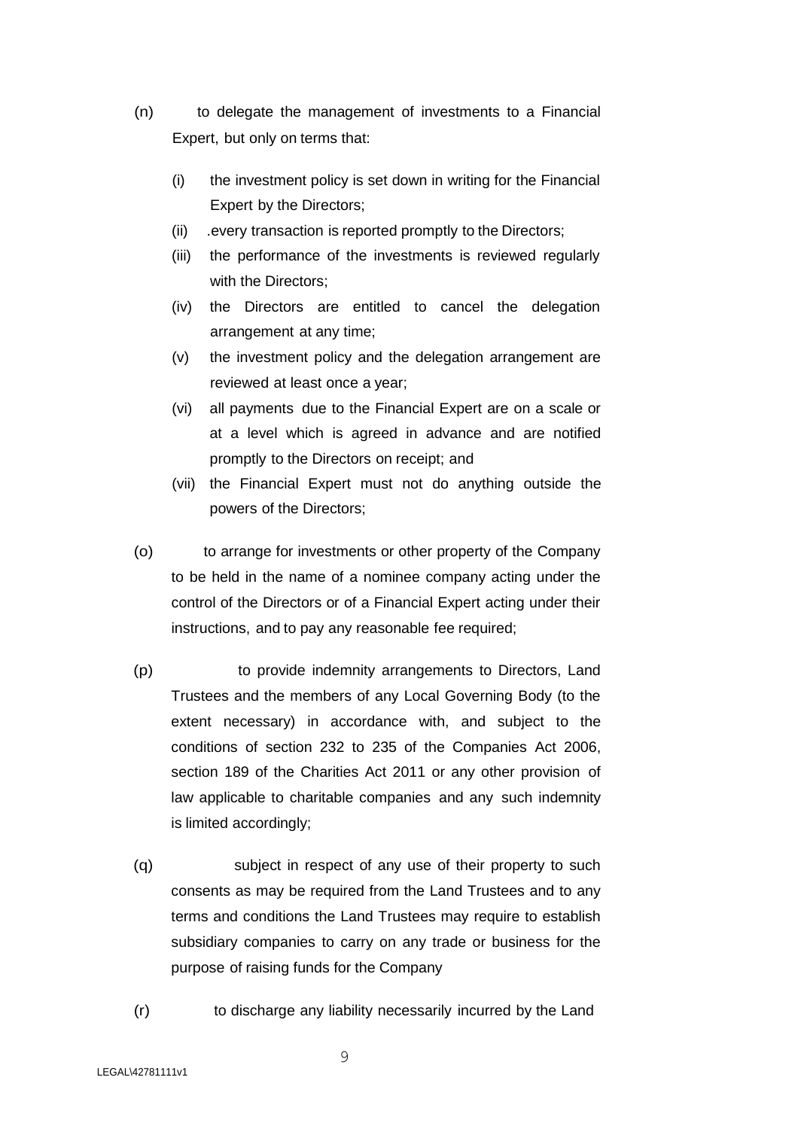- (n) to delegate the management of investments to a Financial Expert, but only on terms that:
	- (i) the investment policy is set down in writing for the Financial Expert by the Directors;
	- (ii) .every transaction is reported promptly to the Directors;
	- (iii) the performance of the investments is reviewed regularly with the Directors;
	- (iv) the Directors are entitled to cancel the delegation arrangement at any time;
	- (v) the investment policy and the delegation arrangement are reviewed at least once a year;
	- (vi) all payments due to the Financial Expert are on a scale or at a level which is agreed in advance and are notified promptly to the Directors on receipt; and
	- (vii) the Financial Expert must not do anything outside the powers of the Directors;
- (o) to arrange for investments or other property of the Company to be held in the name of a nominee company acting under the control of the Directors or of a Financial Expert acting under their instructions, and to pay any reasonable fee required;
- (p) to provide indemnity arrangements to Directors, Land Trustees and the members of any Local Governing Body (to the extent necessary) in accordance with, and subject to the conditions of section 232 to 235 of the Companies Act 2006, section 189 of the Charities Act 2011 or any other provision of law applicable to charitable companies and any such indemnity is limited accordingly;
- (q) subject in respect of any use of their property to such consents as may be required from the Land Trustees and to any terms and conditions the Land Trustees may require to establish subsidiary companies to carry on any trade or business for the purpose of raising funds for the Company
- (r) to discharge any liability necessarily incurred by the Land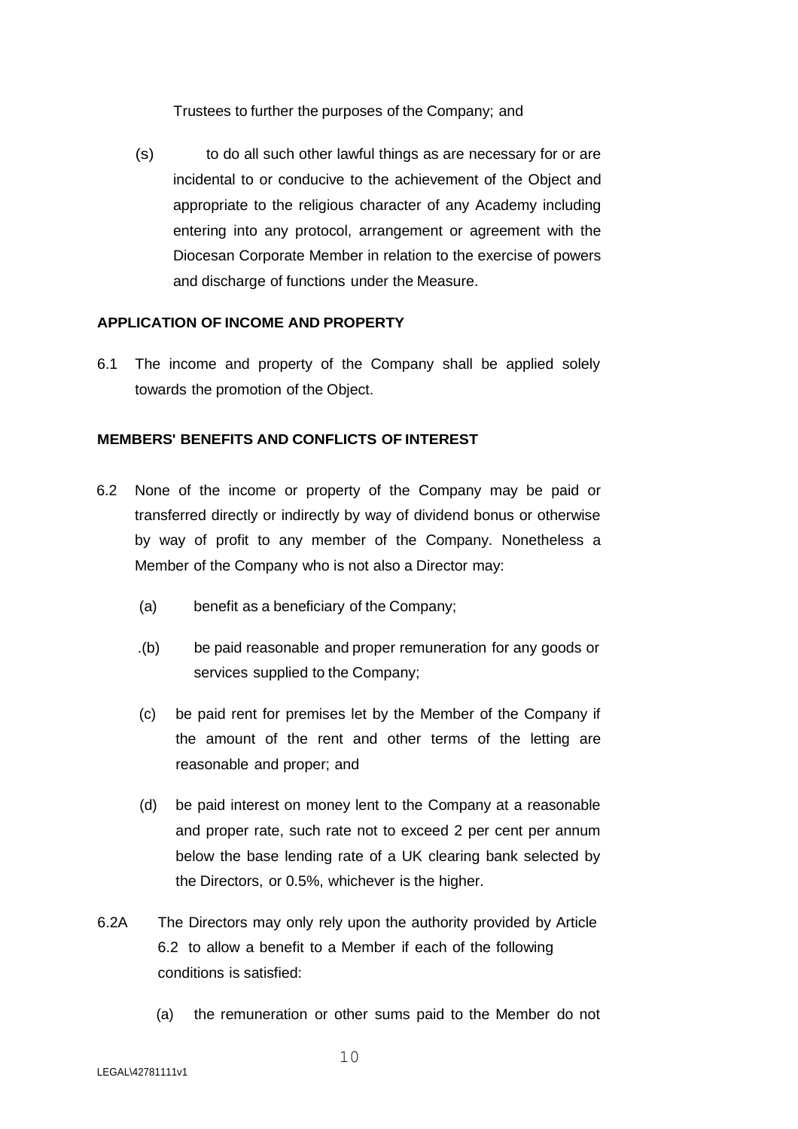Trustees to further the purposes of the Company; and

(s) to do all such other lawful things as are necessary for or are incidental to or conducive to the achievement of the Object and appropriate to the religious character of any Academy including entering into any protocol, arrangement or agreement with the Diocesan Corporate Member in relation to the exercise of powers and discharge of functions under the Measure.

## **APPLICATION OF INCOME AND PROPERTY**

6.1 The income and property of the Company shall be applied solely towards the promotion of the Object.

## **MEMBERS' BENEFITS AND CONFLICTS OF INTEREST**

- 6.2 None of the income or property of the Company may be paid or transferred directly or indirectly by way of dividend bonus or otherwise by way of profit to any member of the Company. Nonetheless a Member of the Company who is not also a Director may:
	- (a) benefit as a beneficiary of the Company;
	- .(b) be paid reasonable and proper remuneration for any goods or services supplied to the Company;
	- (c) be paid rent for premises let by the Member of the Company if the amount of the rent and other terms of the letting are reasonable and proper; and
	- (d) be paid interest on money lent to the Company at a reasonable and proper rate, such rate not to exceed 2 per cent per annum below the base lending rate of a UK clearing bank selected by the Directors, or 0.5%, whichever is the higher.
- 6.2A The Directors may only rely upon the authority provided by Article 6.2 to allow a benefit to a Member if each of the following conditions is satisfied:
	- (a) the remuneration or other sums paid to the Member do not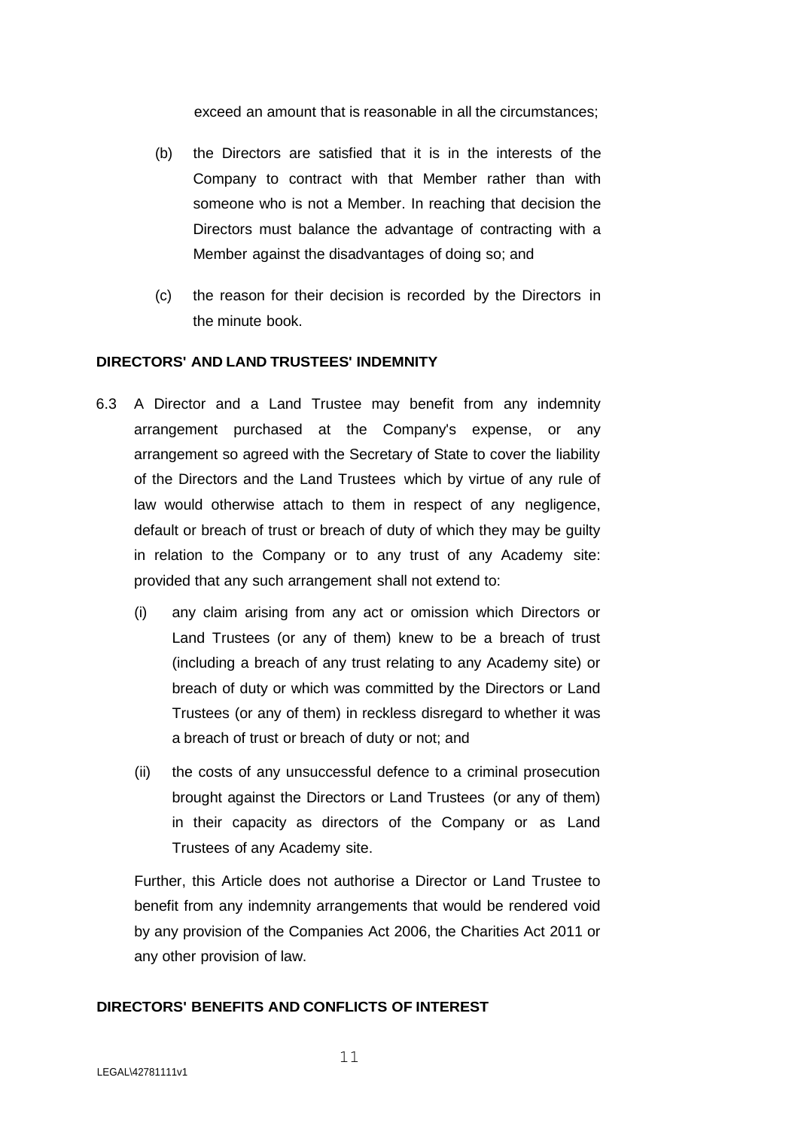exceed an amount that is reasonable in all the circumstances;

- (b) the Directors are satisfied that it is in the interests of the Company to contract with that Member rather than with someone who is not a Member. In reaching that decision the Directors must balance the advantage of contracting with a Member against the disadvantages of doing so; and
- (c) the reason for their decision is recorded by the Directors in the minute book.

# **DIRECTORS' AND LAND TRUSTEES' INDEMNITY**

- 6.3 A Director and a Land Trustee may benefit from any indemnity arrangement purchased at the Company's expense, or any arrangement so agreed with the Secretary of State to cover the liability of the Directors and the Land Trustees which by virtue of any rule of law would otherwise attach to them in respect of any negligence, default or breach of trust or breach of duty of which they may be guilty in relation to the Company or to any trust of any Academy site: provided that any such arrangement shall not extend to:
	- (i) any claim arising from any act or omission which Directors or Land Trustees (or any of them) knew to be a breach of trust (including a breach of any trust relating to any Academy site) or breach of duty or which was committed by the Directors or Land Trustees (or any of them) in reckless disregard to whether it was a breach of trust or breach of duty or not; and
	- (ii) the costs of any unsuccessful defence to a criminal prosecution brought against the Directors or Land Trustees (or any of them) in their capacity as directors of the Company or as Land Trustees of any Academy site.

Further, this Article does not authorise a Director or Land Trustee to benefit from any indemnity arrangements that would be rendered void by any provision of the Companies Act 2006, the Charities Act 2011 or any other provision of law.

# **DIRECTORS' BENEFITS AND CONFLICTS OF INTEREST**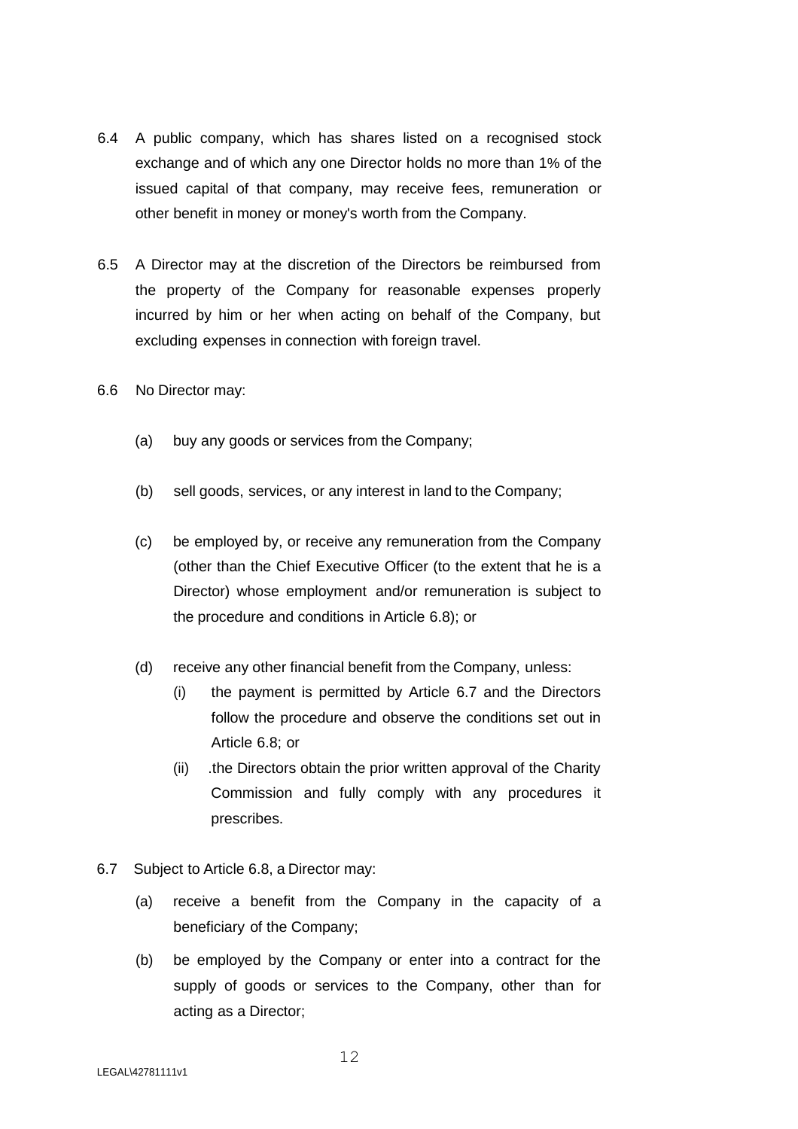- 6.4 A public company, which has shares listed on a recognised stock exchange and of which any one Director holds no more than 1% of the issued capital of that company, may receive fees, remuneration or other benefit in money or money's worth from the Company.
- 6.5 A Director may at the discretion of the Directors be reimbursed from the property of the Company for reasonable expenses properly incurred by him or her when acting on behalf of the Company, but excluding expenses in connection with foreign travel.
- 6.6 No Director may:
	- (a) buy any goods or services from the Company;
	- (b) sell goods, services, or any interest in land to the Company;
	- (c) be employed by, or receive any remuneration from the Company (other than the Chief Executive Officer (to the extent that he is a Director) whose employment and/or remuneration is subject to the procedure and conditions in Article 6.8); or
	- (d) receive any other financial benefit from the Company, unless:
		- (i) the payment is permitted by Article 6.7 and the Directors follow the procedure and observe the conditions set out in Article 6.8; or
		- (ii) .the Directors obtain the prior written approval of the Charity Commission and fully comply with any procedures it prescribes.
- 6.7 Subject to Article 6.8, a Director may:
	- (a) receive a benefit from the Company in the capacity of a beneficiary of the Company;
	- (b) be employed by the Company or enter into a contract for the supply of goods or services to the Company, other than for acting as a Director;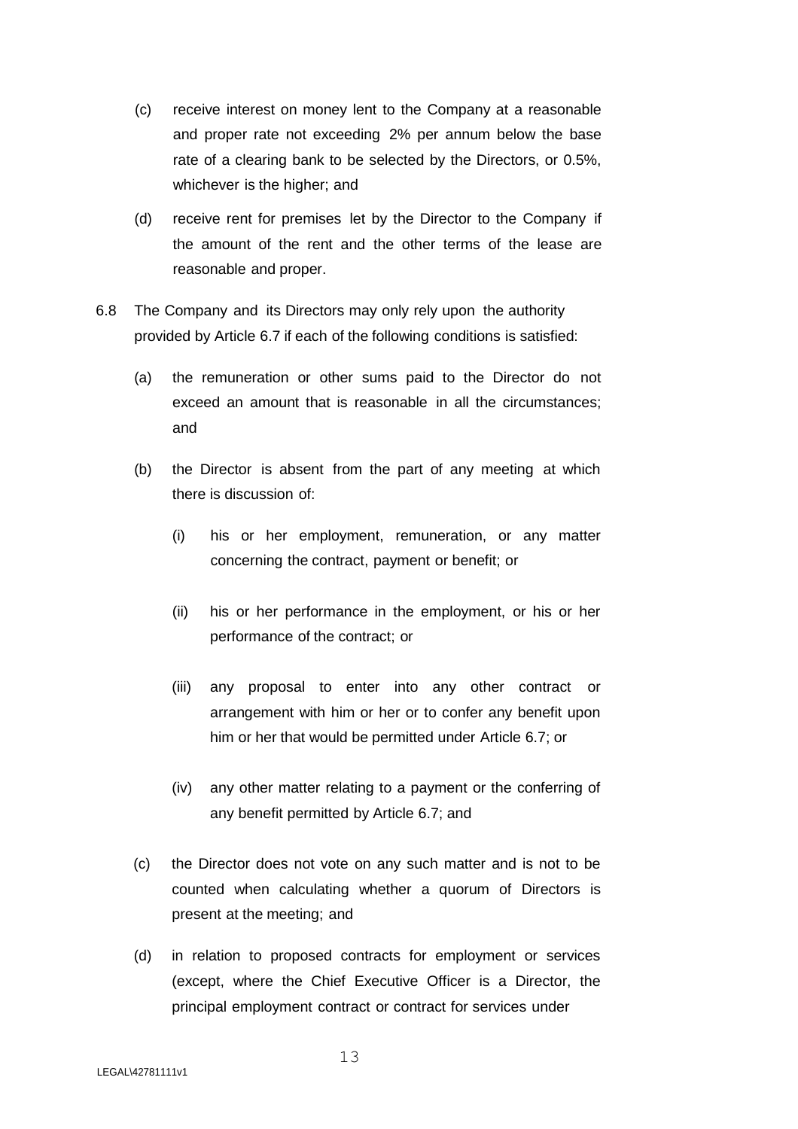- (c) receive interest on money lent to the Company at a reasonable and proper rate not exceeding 2% per annum below the base rate of a clearing bank to be selected by the Directors, or 0.5%, whichever is the higher; and
- (d) receive rent for premises let by the Director to the Company if the amount of the rent and the other terms of the lease are reasonable and proper.
- 6.8 The Company and its Directors may only rely upon the authority provided by Article 6.7 if each of the following conditions is satisfied:
	- (a) the remuneration or other sums paid to the Director do not exceed an amount that is reasonable in all the circumstances; and
	- (b) the Director is absent from the part of any meeting at which there is discussion of:
		- (i) his or her employment, remuneration, or any matter concerning the contract, payment or benefit; or
		- (ii) his or her performance in the employment, or his or her performance of the contract; or
		- (iii) any proposal to enter into any other contract or arrangement with him or her or to confer any benefit upon him or her that would be permitted under Article 6.7; or
		- (iv) any other matter relating to a payment or the conferring of any benefit permitted by Article 6.7; and
	- (c) the Director does not vote on any such matter and is not to be counted when calculating whether a quorum of Directors is present at the meeting; and
	- (d) in relation to proposed contracts for employment or services (except, where the Chief Executive Officer is a Director, the principal employment contract or contract for services under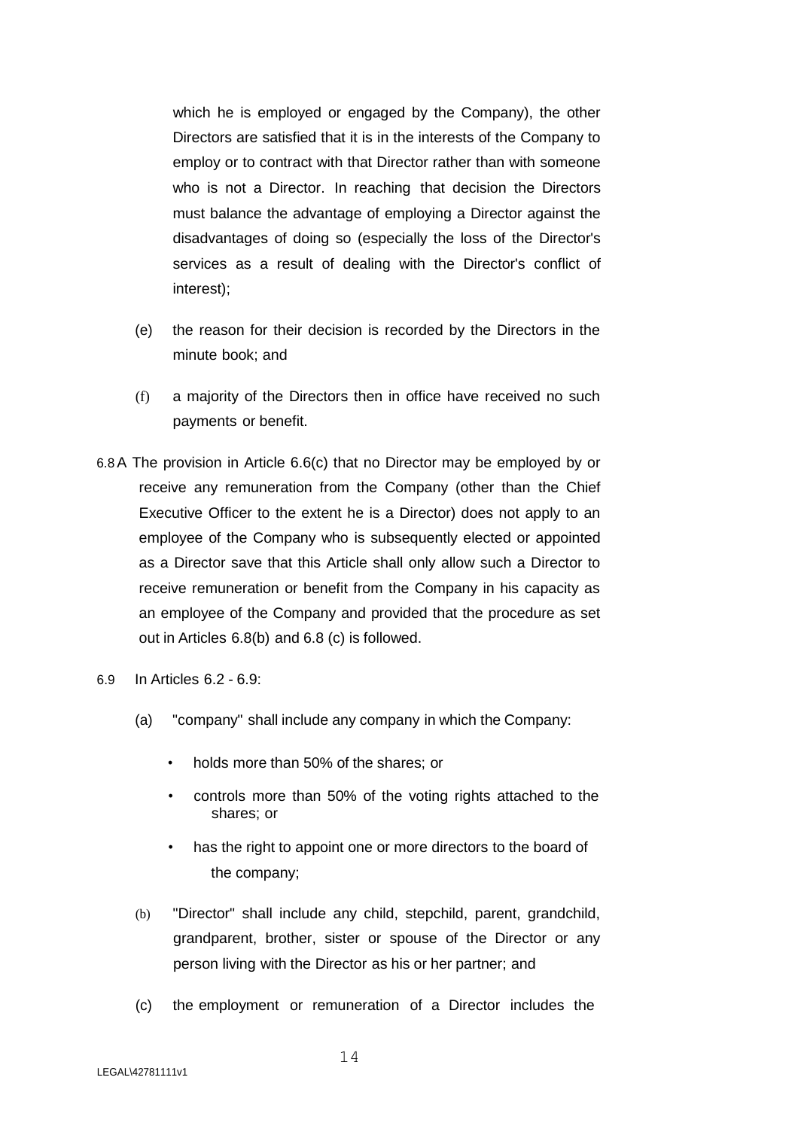which he is employed or engaged by the Company), the other Directors are satisfied that it is in the interests of the Company to employ or to contract with that Director rather than with someone who is not a Director. In reaching that decision the Directors must balance the advantage of employing a Director against the disadvantages of doing so (especially the loss of the Director's services as a result of dealing with the Director's conflict of interest);

- (e) the reason for their decision is recorded by the Directors in the minute book; and
- (f) a majority of the Directors then in office have received no such payments or benefit.
- 6.8A The provision in Article 6.6(c) that no Director may be employed by or receive any remuneration from the Company (other than the Chief Executive Officer to the extent he is a Director) does not apply to an employee of the Company who is subsequently elected or appointed as a Director save that this Article shall only allow such a Director to receive remuneration or benefit from the Company in his capacity as an employee of the Company and provided that the procedure as set out in Articles 6.8(b) and 6.8 (c) is followed.
- 6.9 In Articles 6.2 6.9:
	- (a) "company" shall include any company in which the Company:
		- holds more than 50% of the shares; or
		- controls more than 50% of the voting rights attached to the shares; or
		- has the right to appoint one or more directors to the board of the company;
	- (b) "Director" shall include any child, stepchild, parent, grandchild, grandparent, brother, sister or spouse of the Director or any person living with the Director as his or her partner; and
	- (c) the employment or remuneration of a Director includes the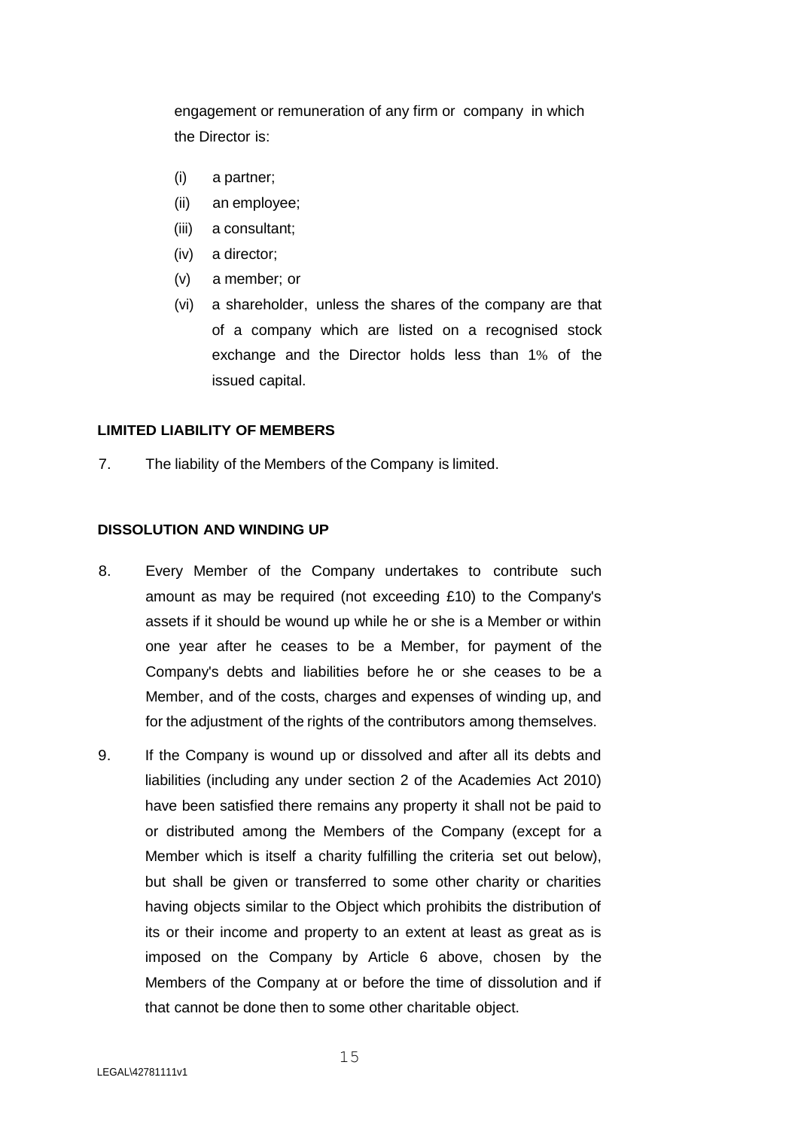engagement or remuneration of any firm or company in which the Director is:

- (i) a partner;
- (ii) an employee;
- (iii) a consultant;
- (iv) a director;
- (v) a member; or
- (vi) a shareholder, unless the shares of the company are that of a company which are listed on a recognised stock exchange and the Director holds less than 1% of the issued capital.

## **LIMITED LIABILITY OF MEMBERS**

7. The liability of the Members of the Company is limited.

# **DISSOLUTION AND WINDING UP**

- 8. Every Member of the Company undertakes to contribute such amount as may be required (not exceeding £10) to the Company's assets if it should be wound up while he or she is a Member or within one year after he ceases to be a Member, for payment of the Company's debts and liabilities before he or she ceases to be a Member, and of the costs, charges and expenses of winding up, and for the adjustment of the rights of the contributors among themselves.
- 9. If the Company is wound up or dissolved and after all its debts and liabilities (including any under section 2 of the Academies Act 2010) have been satisfied there remains any property it shall not be paid to or distributed among the Members of the Company (except for a Member which is itself a charity fulfilling the criteria set out below), but shall be given or transferred to some other charity or charities having objects similar to the Object which prohibits the distribution of its or their income and property to an extent at least as great as is imposed on the Company by Article 6 above, chosen by the Members of the Company at or before the time of dissolution and if that cannot be done then to some other charitable object.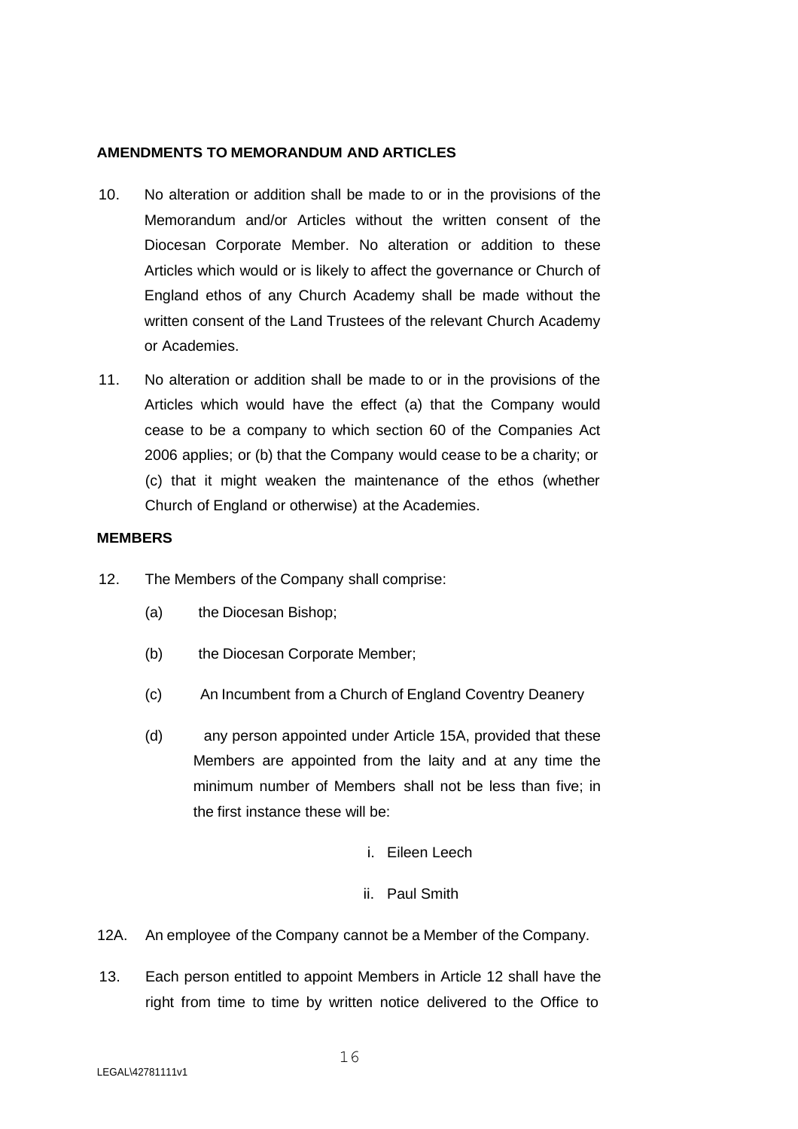## **AMENDMENTS TO MEMORANDUM AND ARTICLES**

- 10. No alteration or addition shall be made to or in the provisions of the Memorandum and/or Articles without the written consent of the Diocesan Corporate Member. No alteration or addition to these Articles which would or is likely to affect the governance or Church of England ethos of any Church Academy shall be made without the written consent of the Land Trustees of the relevant Church Academy or Academies.
- 11. No alteration or addition shall be made to or in the provisions of the Articles which would have the effect (a) that the Company would cease to be a company to which section 60 of the Companies Act 2006 applies; or (b) that the Company would cease to be a charity; or (c) that it might weaken the maintenance of the ethos (whether Church of England or otherwise) at the Academies.

## **MEMBERS**

- 12. The Members of the Company shall comprise:
	- (a) the Diocesan Bishop;
	- (b) the Diocesan Corporate Member;
	- (c) An Incumbent from a Church of England Coventry Deanery
	- (d) any person appointed under Article 15A, provided that these Members are appointed from the laity and at any time the minimum number of Members shall not be less than five; in the first instance these will be:
		- i. Eileen Leech

## ii. Paul Smith

- 12A. An employee of the Company cannot be a Member of the Company.
- 13. Each person entitled to appoint Members in Article 12 shall have the right from time to time by written notice delivered to the Office to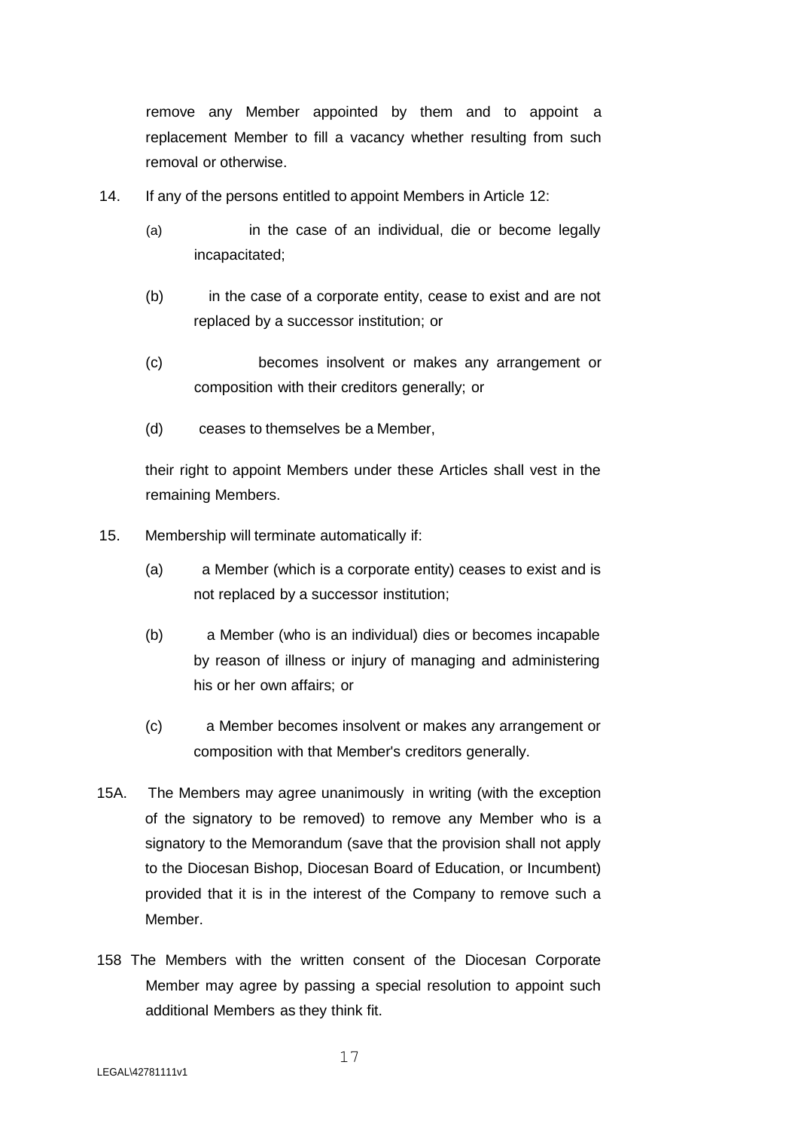remove any Member appointed by them and to appoint a replacement Member to fill a vacancy whether resulting from such removal or otherwise.

- 14. If any of the persons entitled to appoint Members in Article 12:
	- (a) in the case of an individual, die or become legally incapacitated;
	- (b) in the case of a corporate entity, cease to exist and are not replaced by a successor institution; or
	- (c) becomes insolvent or makes any arrangement or composition with their creditors generally; or
	- (d) ceases to themselves be a Member,

their right to appoint Members under these Articles shall vest in the remaining Members.

- 15. Membership will terminate automatically if:
	- (a) a Member (which is a corporate entity) ceases to exist and is not replaced by a successor institution;
	- (b) a Member (who is an individual) dies or becomes incapable by reason of illness or injury of managing and administering his or her own affairs; or
	- (c) a Member becomes insolvent or makes any arrangement or composition with that Member's creditors generally.
- 15A. The Members may agree unanimously in writing (with the exception of the signatory to be removed) to remove any Member who is a signatory to the Memorandum (save that the provision shall not apply to the Diocesan Bishop, Diocesan Board of Education, or Incumbent) provided that it is in the interest of the Company to remove such a Member.
- 158 The Members with the written consent of the Diocesan Corporate Member may agree by passing a special resolution to appoint such additional Members as they think fit.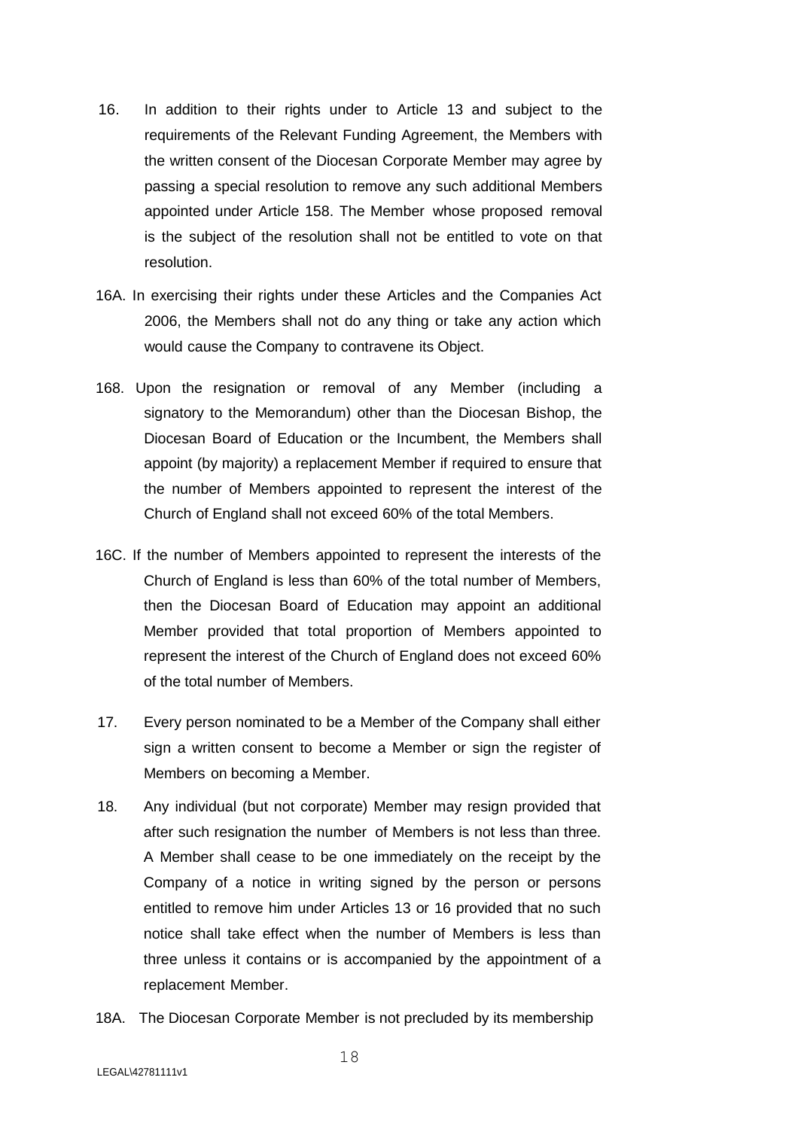- 16. In addition to their rights under to Article 13 and subject to the requirements of the Relevant Funding Agreement, the Members with the written consent of the Diocesan Corporate Member may agree by passing a special resolution to remove any such additional Members appointed under Article 158. The Member whose proposed removal is the subject of the resolution shall not be entitled to vote on that resolution.
- 16A. In exercising their rights under these Articles and the Companies Act 2006, the Members shall not do any thing or take any action which would cause the Company to contravene its Object.
- 168. Upon the resignation or removal of any Member (including a signatory to the Memorandum) other than the Diocesan Bishop, the Diocesan Board of Education or the Incumbent, the Members shall appoint (by majority) a replacement Member if required to ensure that the number of Members appointed to represent the interest of the Church of England shall not exceed 60% of the total Members.
- 16C. If the number of Members appointed to represent the interests of the Church of England is less than 60% of the total number of Members, then the Diocesan Board of Education may appoint an additional Member provided that total proportion of Members appointed to represent the interest of the Church of England does not exceed 60% of the total number of Members.
- 17. Every person nominated to be a Member of the Company shall either sign a written consent to become a Member or sign the register of Members on becoming a Member.
- 18. Any individual (but not corporate) Member may resign provided that after such resignation the number of Members is not less than three. A Member shall cease to be one immediately on the receipt by the Company of a notice in writing signed by the person or persons entitled to remove him under Articles 13 or 16 provided that no such notice shall take effect when the number of Members is less than three unless it contains or is accompanied by the appointment of a replacement Member.
- 18A. The Diocesan Corporate Member is not precluded by its membership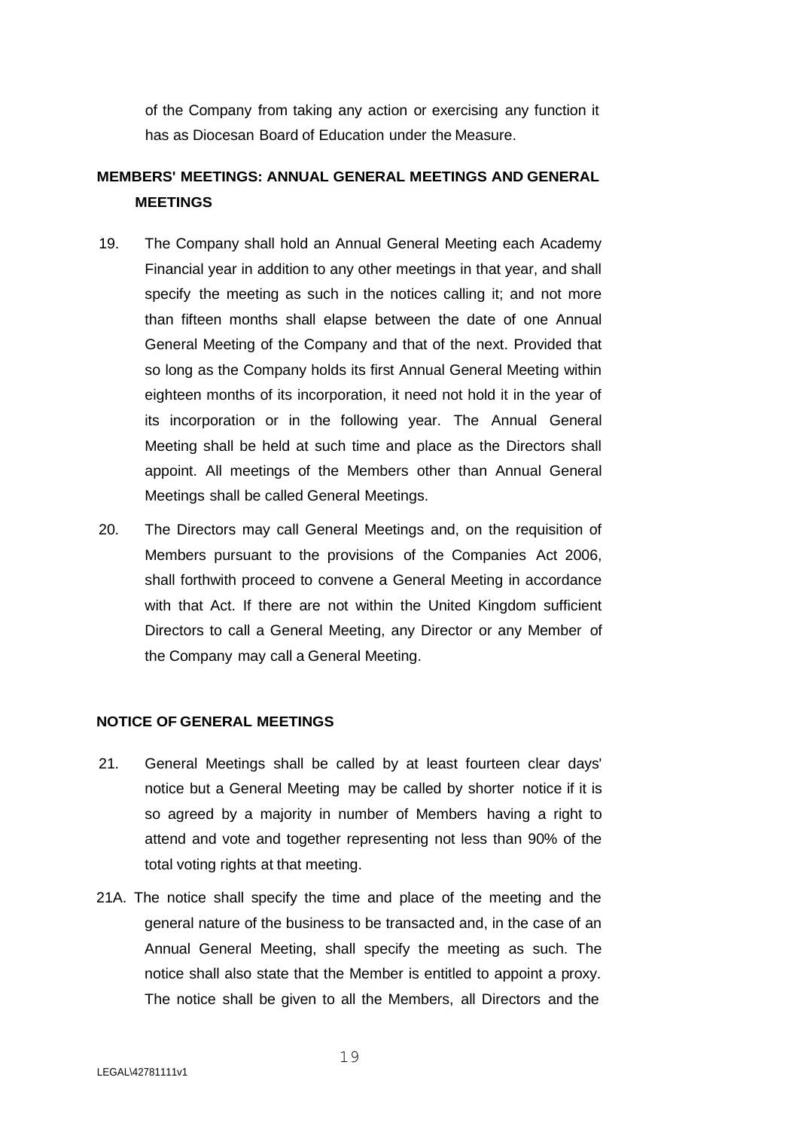of the Company from taking any action or exercising any function it has as Diocesan Board of Education under the Measure.

# **MEMBERS' MEETINGS: ANNUAL GENERAL MEETINGS AND GENERAL MEETINGS**

- 19. The Company shall hold an Annual General Meeting each Academy Financial year in addition to any other meetings in that year, and shall specify the meeting as such in the notices calling it; and not more than fifteen months shall elapse between the date of one Annual General Meeting of the Company and that of the next. Provided that so long as the Company holds its first Annual General Meeting within eighteen months of its incorporation, it need not hold it in the year of its incorporation or in the following year. The Annual General Meeting shall be held at such time and place as the Directors shall appoint. All meetings of the Members other than Annual General Meetings shall be called General Meetings.
- 20. The Directors may call General Meetings and, on the requisition of Members pursuant to the provisions of the Companies Act 2006, shall forthwith proceed to convene a General Meeting in accordance with that Act. If there are not within the United Kingdom sufficient Directors to call a General Meeting, any Director or any Member of the Company may call a General Meeting.

# **NOTICE OF GENERAL MEETINGS**

- 21. General Meetings shall be called by at least fourteen clear days' notice but a General Meeting may be called by shorter notice if it is so agreed by a majority in number of Members having a right to attend and vote and together representing not less than 90% of the total voting rights at that meeting.
- 21A. The notice shall specify the time and place of the meeting and the general nature of the business to be transacted and, in the case of an Annual General Meeting, shall specify the meeting as such. The notice shall also state that the Member is entitled to appoint a proxy. The notice shall be given to all the Members, all Directors and the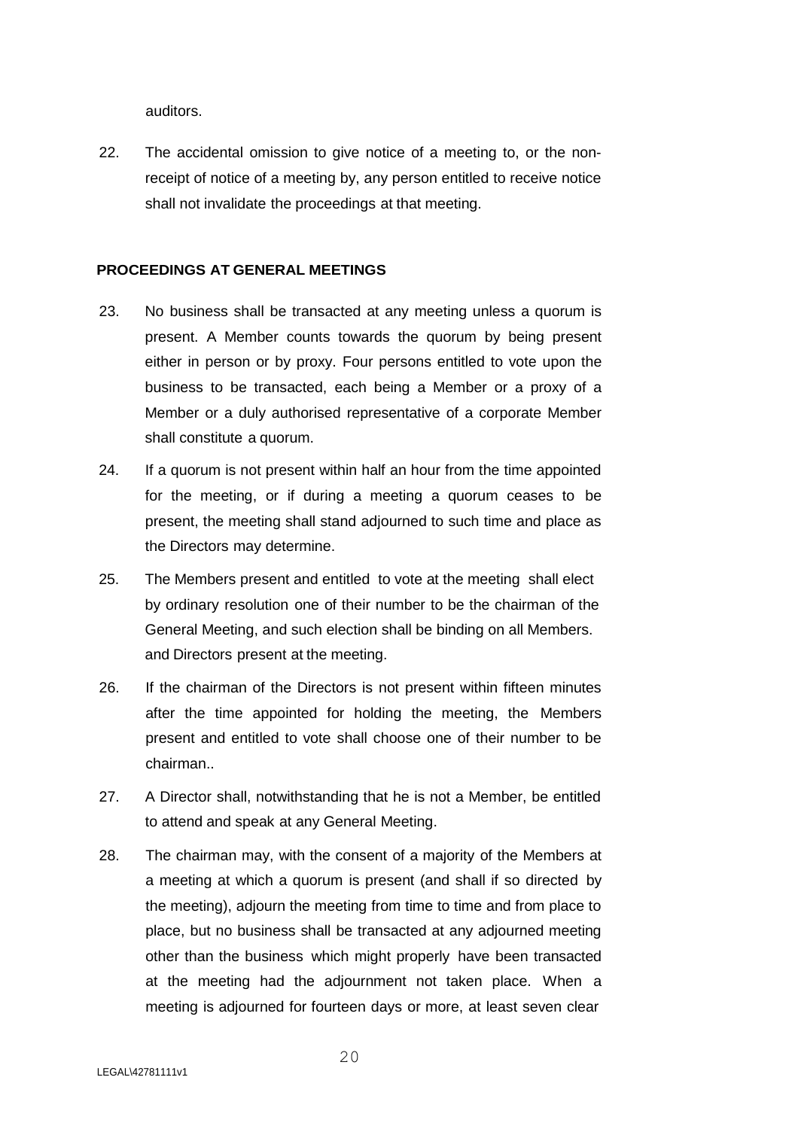auditors.

22. The accidental omission to give notice of a meeting to, or the nonreceipt of notice of a meeting by, any person entitled to receive notice shall not invalidate the proceedings at that meeting.

# **PROCEEDINGS AT GENERAL MEETINGS**

- 23. No business shall be transacted at any meeting unless a quorum is present. A Member counts towards the quorum by being present either in person or by proxy. Four persons entitled to vote upon the business to be transacted, each being a Member or a proxy of a Member or a duly authorised representative of a corporate Member shall constitute a quorum.
- 24. If a quorum is not present within half an hour from the time appointed for the meeting, or if during a meeting a quorum ceases to be present, the meeting shall stand adjourned to such time and place as the Directors may determine.
- 25. The Members present and entitled to vote at the meeting shall elect by ordinary resolution one of their number to be the chairman of the General Meeting, and such election shall be binding on all Members. and Directors present at the meeting.
- 26. If the chairman of the Directors is not present within fifteen minutes after the time appointed for holding the meeting, the Members present and entitled to vote shall choose one of their number to be chairman..
- 27. A Director shall, notwithstanding that he is not a Member, be entitled to attend and speak at any General Meeting.
- 28. The chairman may, with the consent of a majority of the Members at a meeting at which a quorum is present (and shall if so directed by the meeting), adjourn the meeting from time to time and from place to place, but no business shall be transacted at any adjourned meeting other than the business which might properly have been transacted at the meeting had the adjournment not taken place. When a meeting is adjourned for fourteen days or more, at least seven clear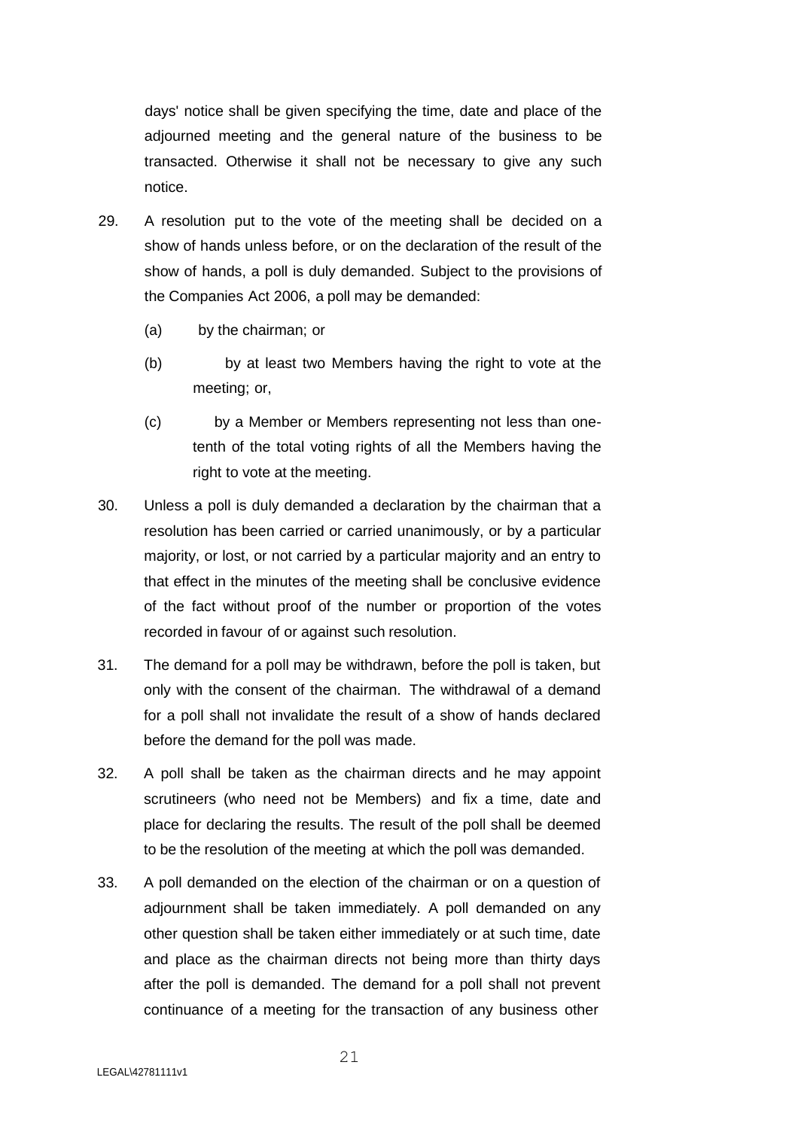days' notice shall be given specifying the time, date and place of the adjourned meeting and the general nature of the business to be transacted. Otherwise it shall not be necessary to give any such notice.

- 29. A resolution put to the vote of the meeting shall be decided on a show of hands unless before, or on the declaration of the result of the show of hands, a poll is duly demanded. Subject to the provisions of the Companies Act 2006, a poll may be demanded:
	- (a) by the chairman; or
	- (b) by at least two Members having the right to vote at the meeting; or,
	- (c) by a Member or Members representing not less than onetenth of the total voting rights of all the Members having the right to vote at the meeting.
- 30. Unless a poll is duly demanded a declaration by the chairman that a resolution has been carried or carried unanimously, or by a particular majority, or lost, or not carried by a particular majority and an entry to that effect in the minutes of the meeting shall be conclusive evidence of the fact without proof of the number or proportion of the votes recorded in favour of or against such resolution.
- 31. The demand for a poll may be withdrawn, before the poll is taken, but only with the consent of the chairman. The withdrawal of a demand for a poll shall not invalidate the result of a show of hands declared before the demand for the poll was made.
- 32. A poll shall be taken as the chairman directs and he may appoint scrutineers (who need not be Members) and fix a time, date and place for declaring the results. The result of the poll shall be deemed to be the resolution of the meeting at which the poll was demanded.
- 33. A poll demanded on the election of the chairman or on a question of adjournment shall be taken immediately. A poll demanded on any other question shall be taken either immediately or at such time, date and place as the chairman directs not being more than thirty days after the poll is demanded. The demand for a poll shall not prevent continuance of a meeting for the transaction of any business other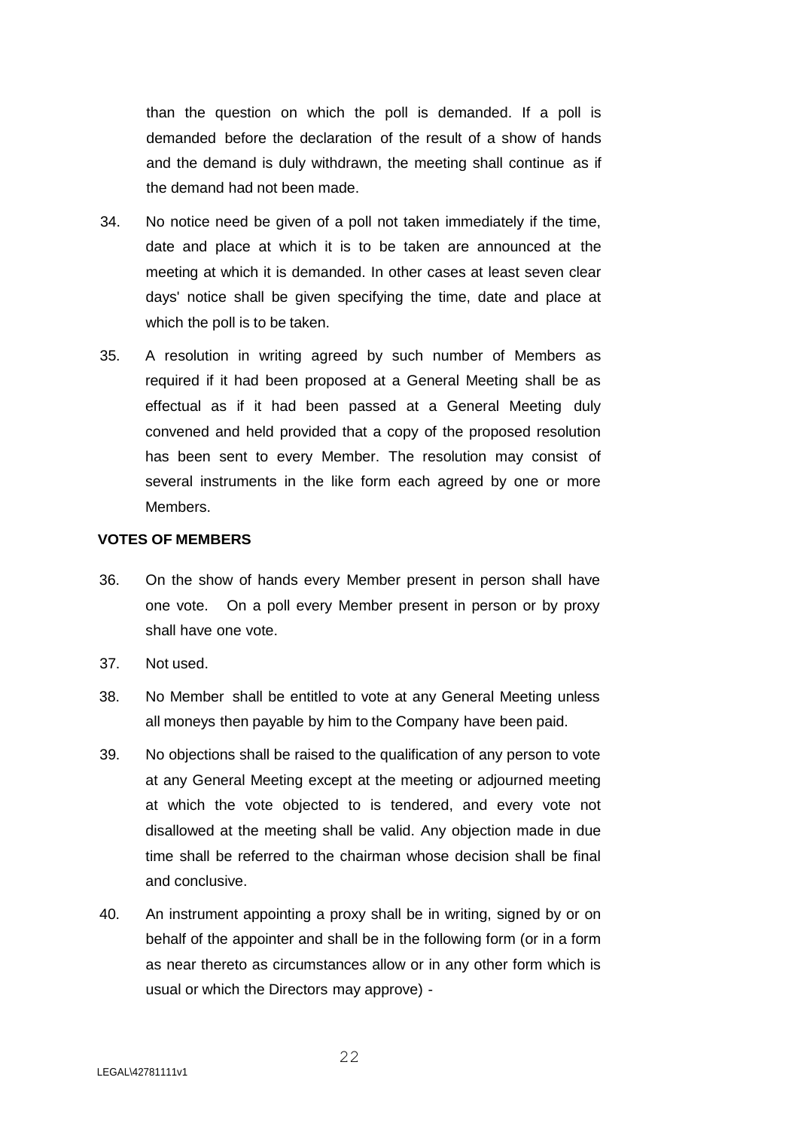than the question on which the poll is demanded. If a poll is demanded before the declaration of the result of a show of hands and the demand is duly withdrawn, the meeting shall continue as if the demand had not been made.

- 34. No notice need be given of a poll not taken immediately if the time, date and place at which it is to be taken are announced at the meeting at which it is demanded. In other cases at least seven clear days' notice shall be given specifying the time, date and place at which the poll is to be taken.
- 35. A resolution in writing agreed by such number of Members as required if it had been proposed at a General Meeting shall be as effectual as if it had been passed at a General Meeting duly convened and held provided that a copy of the proposed resolution has been sent to every Member. The resolution may consist of several instruments in the like form each agreed by one or more Members.

#### **VOTES OF MEMBERS**

- 36. On the show of hands every Member present in person shall have one vote. On a poll every Member present in person or by proxy shall have one vote.
- 37. Not used.
- 38. No Member shall be entitled to vote at any General Meeting unless all moneys then payable by him to the Company have been paid.
- 39. No objections shall be raised to the qualification of any person to vote at any General Meeting except at the meeting or adjourned meeting at which the vote objected to is tendered, and every vote not disallowed at the meeting shall be valid. Any objection made in due time shall be referred to the chairman whose decision shall be final and conclusive.
- 40. An instrument appointing a proxy shall be in writing, signed by or on behalf of the appointer and shall be in the following form (or in a form as near thereto as circumstances allow or in any other form which is usual or which the Directors may approve) -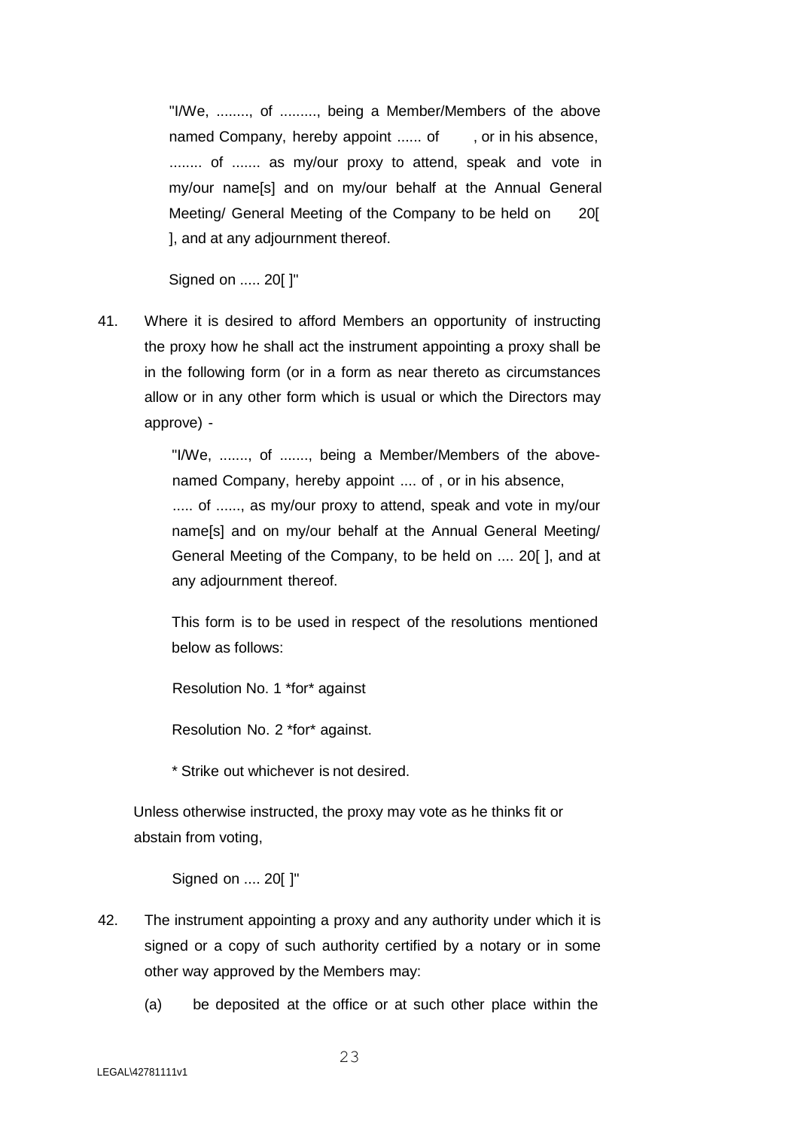"I/We, ........, of ........., being a Member/Members of the above named Company, hereby appoint ...... of , or in his absence, ......... of ....... as my/our proxy to attend, speak and vote in my/our name[s] and on my/our behalf at the Annual General Meeting/ General Meeting of the Company to be held on 20[ ], and at any adjournment thereof.

Signed on ..... 20[ ]"

41. Where it is desired to afford Members an opportunity of instructing the proxy how he shall act the instrument appointing a proxy shall be in the following form (or in a form as near thereto as circumstances allow or in any other form which is usual or which the Directors may approve) -

> "I/We, ......., of ......., being a Member/Members of the abovenamed Company, hereby appoint .... of , or in his absence, ..... of ......, as my/our proxy to attend, speak and vote in my/our

> name[s] and on my/our behalf at the Annual General Meeting/ General Meeting of the Company, to be held on .... 20[ ], and at any adjournment thereof.

> This form is to be used in respect of the resolutions mentioned below as follows:

Resolution No. 1 \*for\* against

Resolution No. 2 \*for\* against.

\* Strike out whichever is not desired.

Unless otherwise instructed, the proxy may vote as he thinks fit or abstain from voting,

Signed on .... 20[ ]"

- 42. The instrument appointing a proxy and any authority under which it is signed or a copy of such authority certified by a notary or in some other way approved by the Members may:
	- (a) be deposited at the office or at such other place within the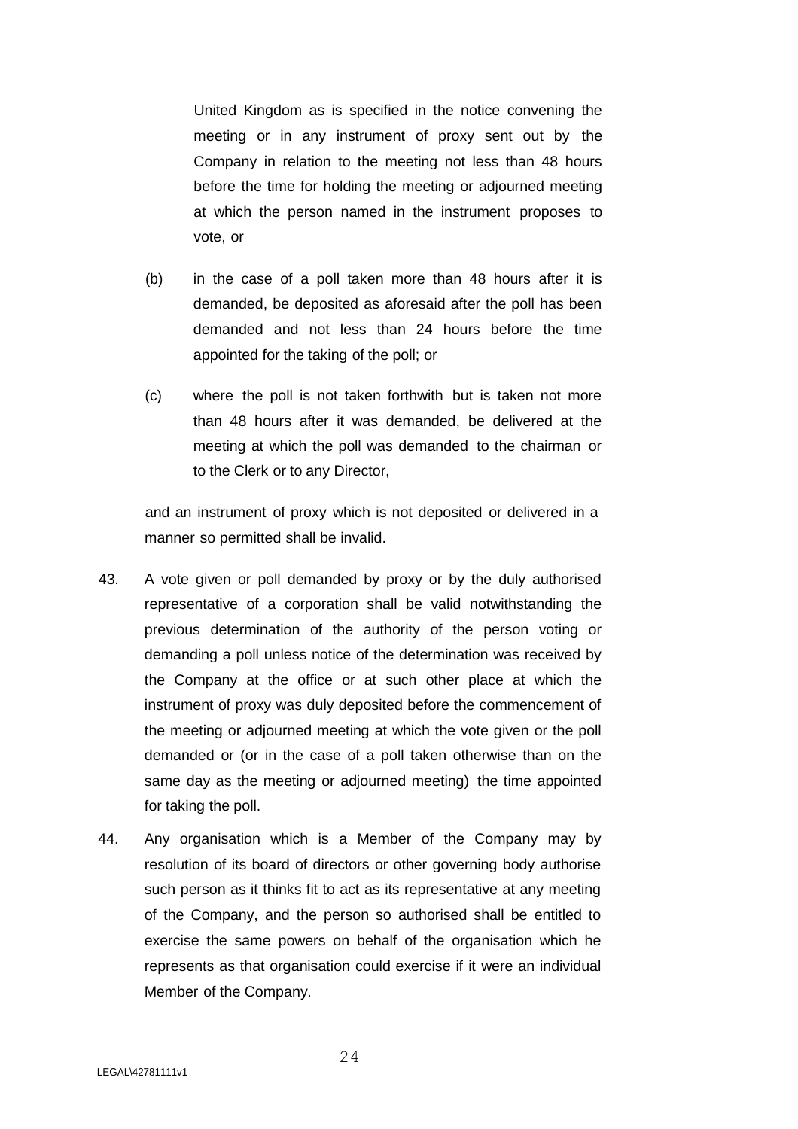United Kingdom as is specified in the notice convening the meeting or in any instrument of proxy sent out by the Company in relation to the meeting not less than 48 hours before the time for holding the meeting or adjourned meeting at which the person named in the instrument proposes to vote, or

- (b) in the case of a poll taken more than 48 hours after it is demanded, be deposited as aforesaid after the poll has been demanded and not less than 24 hours before the time appointed for the taking of the poll; or
- (c) where the poll is not taken forthwith but is taken not more than 48 hours after it was demanded, be delivered at the meeting at which the poll was demanded to the chairman or to the Clerk or to any Director,

and an instrument of proxy which is not deposited or delivered in a manner so permitted shall be invalid.

- 43. A vote given or poll demanded by proxy or by the duly authorised representative of a corporation shall be valid notwithstanding the previous determination of the authority of the person voting or demanding a poll unless notice of the determination was received by the Company at the office or at such other place at which the instrument of proxy was duly deposited before the commencement of the meeting or adjourned meeting at which the vote given or the poll demanded or (or in the case of a poll taken otherwise than on the same day as the meeting or adjourned meeting) the time appointed for taking the poll.
- 44. Any organisation which is a Member of the Company may by resolution of its board of directors or other governing body authorise such person as it thinks fit to act as its representative at any meeting of the Company, and the person so authorised shall be entitled to exercise the same powers on behalf of the organisation which he represents as that organisation could exercise if it were an individual Member of the Company.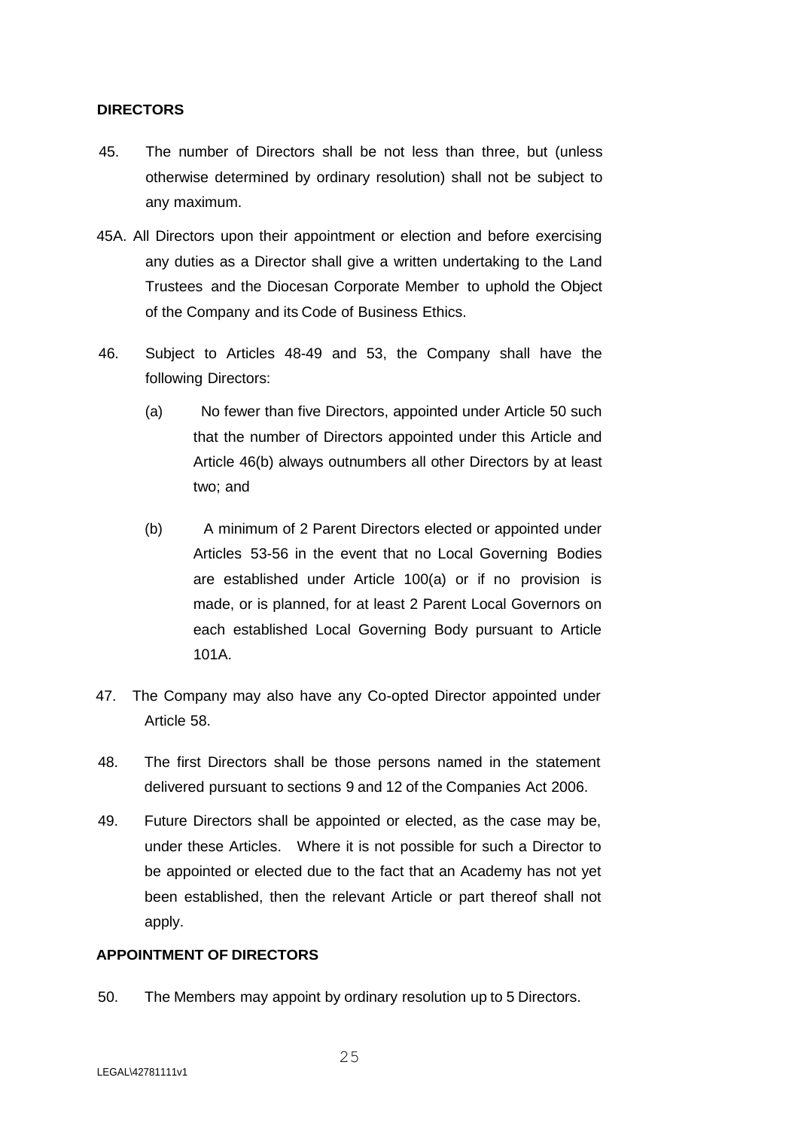## **DIRECTORS**

- 45. The number of Directors shall be not less than three, but (unless otherwise determined by ordinary resolution) shall not be subject to any maximum.
- 45A. All Directors upon their appointment or election and before exercising any duties as a Director shall give a written undertaking to the Land Trustees and the Diocesan Corporate Member to uphold the Object of the Company and its Code of Business Ethics.
- 46. Subject to Articles 48-49 and 53, the Company shall have the following Directors:
	- (a) No fewer than five Directors, appointed under Article 50 such that the number of Directors appointed under this Article and Article 46(b) always outnumbers all other Directors by at least two; and
	- (b) A minimum of 2 Parent Directors elected or appointed under Articles 53-56 in the event that no Local Governing Bodies are established under Article 100(a) or if no provision is made, or is planned, for at least 2 Parent Local Governors on each established Local Governing Body pursuant to Article 101A.
- 47. The Company may also have any Co-opted Director appointed under Article 58.
- 48. The first Directors shall be those persons named in the statement delivered pursuant to sections 9 and 12 of the Companies Act 2006.
- 49. Future Directors shall be appointed or elected, as the case may be, under these Articles. Where it is not possible for such a Director to be appointed or elected due to the fact that an Academy has not yet been established, then the relevant Article or part thereof shall not apply.

## **APPOINTMENT OF DIRECTORS**

50. The Members may appoint by ordinary resolution up to 5 Directors.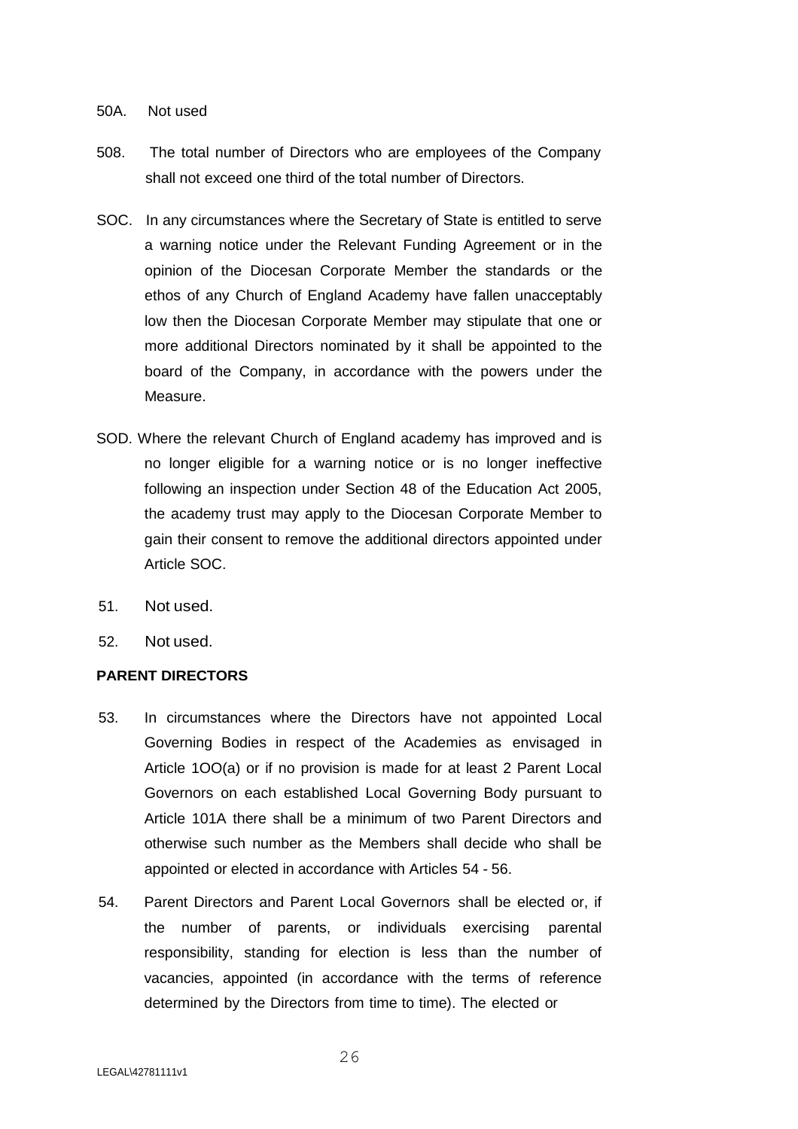## 50A. Not used

- 508. The total number of Directors who are employees of the Company shall not exceed one third of the total number of Directors.
- SOC. In any circumstances where the Secretary of State is entitled to serve a warning notice under the Relevant Funding Agreement or in the opinion of the Diocesan Corporate Member the standards or the ethos of any Church of England Academy have fallen unacceptably low then the Diocesan Corporate Member may stipulate that one or more additional Directors nominated by it shall be appointed to the board of the Company, in accordance with the powers under the Measure.
- SOD. Where the relevant Church of England academy has improved and is no longer eligible for a warning notice or is no longer ineffective following an inspection under Section 48 of the Education Act 2005, the academy trust may apply to the Diocesan Corporate Member to gain their consent to remove the additional directors appointed under Article SOC.
- 51. Not used.
- 52. Not used.

# **PARENT DIRECTORS**

- 53. In circumstances where the Directors have not appointed Local Governing Bodies in respect of the Academies as envisaged in Article 1OO(a) or if no provision is made for at least 2 Parent Local Governors on each established Local Governing Body pursuant to Article 101A there shall be a minimum of two Parent Directors and otherwise such number as the Members shall decide who shall be appointed or elected in accordance with Articles 54 - 56.
- 54. Parent Directors and Parent Local Governors shall be elected or, if the number of parents, or individuals exercising parental responsibility, standing for election is less than the number of vacancies, appointed (in accordance with the terms of reference determined by the Directors from time to time). The elected or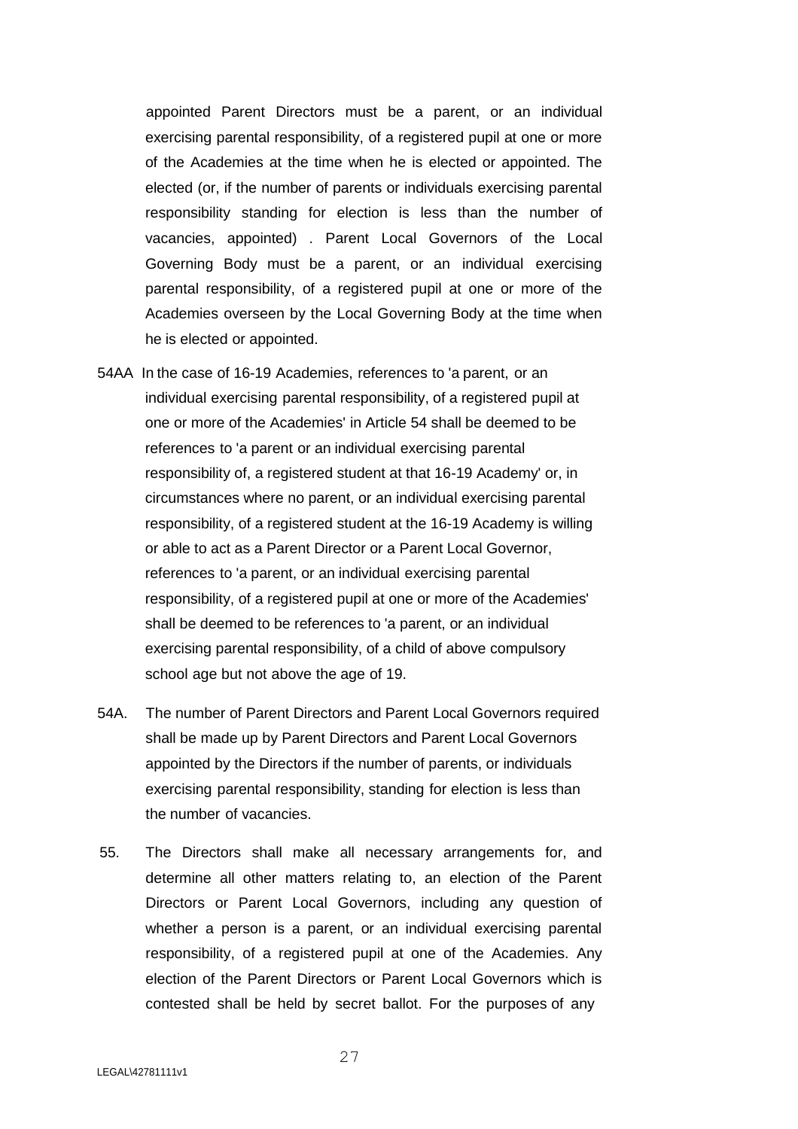appointed Parent Directors must be a parent, or an individual exercising parental responsibility, of a registered pupil at one or more of the Academies at the time when he is elected or appointed. The elected (or, if the number of parents or individuals exercising parental responsibility standing for election is less than the number of vacancies, appointed) . Parent Local Governors of the Local Governing Body must be a parent, or an individual exercising parental responsibility, of a registered pupil at one or more of the Academies overseen by the Local Governing Body at the time when he is elected or appointed.

- 54AA In the case of 16-19 Academies, references to 'a parent, or an individual exercising parental responsibility, of a registered pupil at one or more of the Academies' in Article 54 shall be deemed to be references to 'a parent or an individual exercising parental responsibility of, a registered student at that 16-19 Academy' or, in circumstances where no parent, or an individual exercising parental responsibility, of a registered student at the 16-19 Academy is willing or able to act as a Parent Director or a Parent Local Governor, references to 'a parent, or an individual exercising parental responsibility, of a registered pupil at one or more of the Academies' shall be deemed to be references to 'a parent, or an individual exercising parental responsibility, of a child of above compulsory school age but not above the age of 19.
- 54A. The number of Parent Directors and Parent Local Governors required shall be made up by Parent Directors and Parent Local Governors appointed by the Directors if the number of parents, or individuals exercising parental responsibility, standing for election is less than the number of vacancies.
- 55. The Directors shall make all necessary arrangements for, and determine all other matters relating to, an election of the Parent Directors or Parent Local Governors, including any question of whether a person is a parent, or an individual exercising parental responsibility, of a registered pupil at one of the Academies. Any election of the Parent Directors or Parent Local Governors which is contested shall be held by secret ballot. For the purposes of any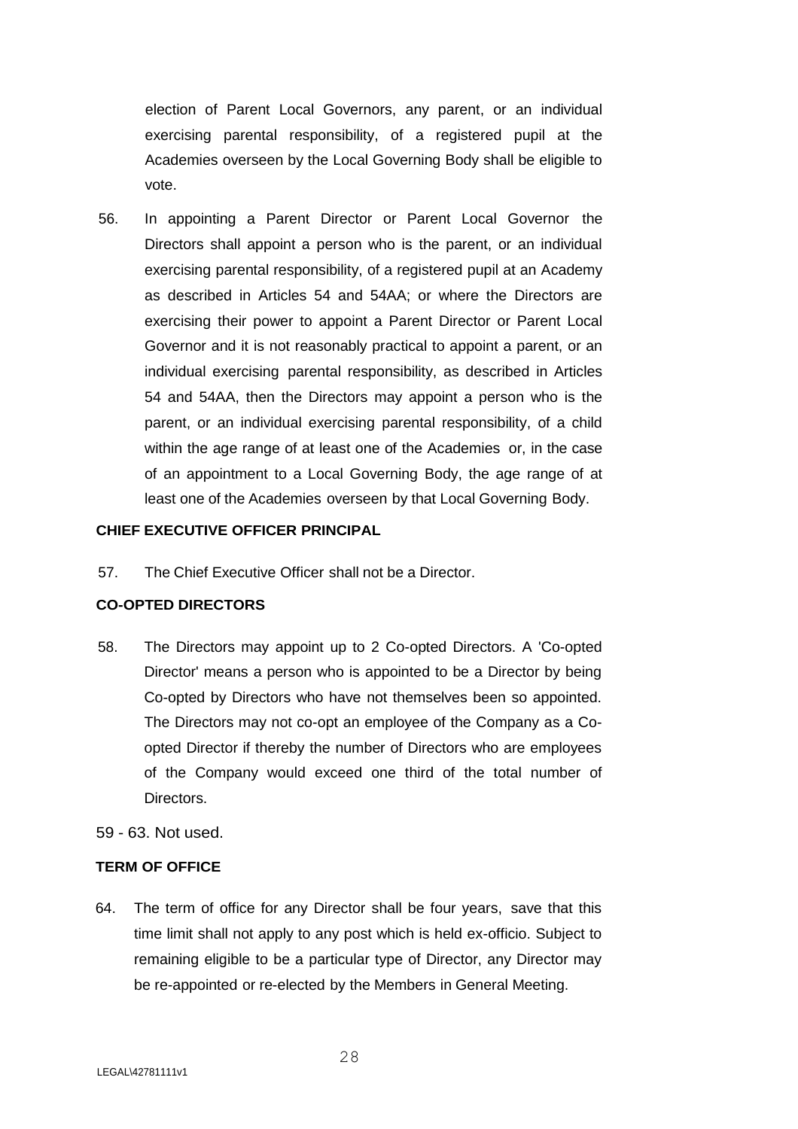election of Parent Local Governors, any parent, or an individual exercising parental responsibility, of a registered pupil at the Academies overseen by the Local Governing Body shall be eligible to vote.

56. In appointing a Parent Director or Parent Local Governor the Directors shall appoint a person who is the parent, or an individual exercising parental responsibility, of a registered pupil at an Academy as described in Articles 54 and 54AA; or where the Directors are exercising their power to appoint a Parent Director or Parent Local Governor and it is not reasonably practical to appoint a parent, or an individual exercising parental responsibility, as described in Articles 54 and 54AA, then the Directors may appoint a person who is the parent, or an individual exercising parental responsibility, of a child within the age range of at least one of the Academies or, in the case of an appointment to a Local Governing Body, the age range of at least one of the Academies overseen by that Local Governing Body.

## **CHIEF EXECUTIVE OFFICER PRINCIPAL**

57. The Chief Executive Officer shall not be a Director.

## **CO-OPTED DIRECTORS**

- 58. The Directors may appoint up to 2 Co-opted Directors. A 'Co-opted Director' means a person who is appointed to be a Director by being Co-opted by Directors who have not themselves been so appointed. The Directors may not co-opt an employee of the Company as a Coopted Director if thereby the number of Directors who are employees of the Company would exceed one third of the total number of Directors.
- 59 63. Not used.

## **TERM OF OFFICE**

64. The term of office for any Director shall be four years, save that this time limit shall not apply to any post which is held ex-officio. Subject to remaining eligible to be a particular type of Director, any Director may be re-appointed or re-elected by the Members in General Meeting.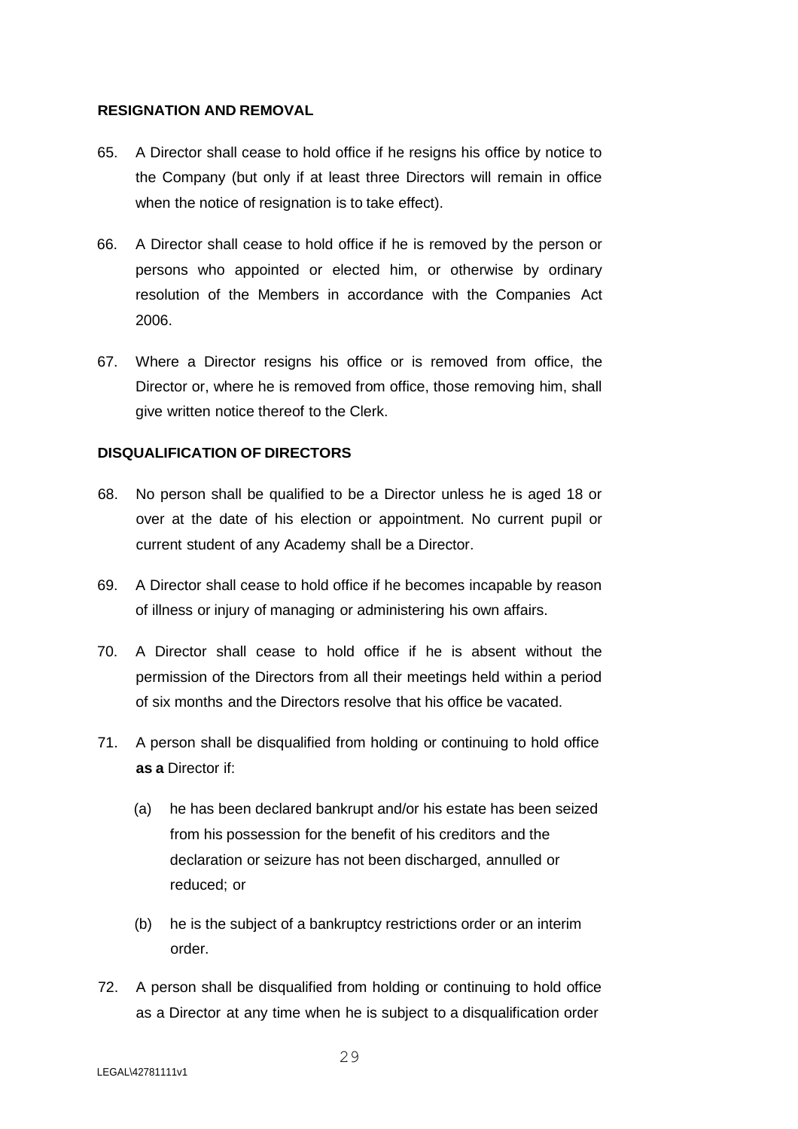# **RESIGNATION AND REMOVAL**

- 65. A Director shall cease to hold office if he resigns his office by notice to the Company (but only if at least three Directors will remain in office when the notice of resignation is to take effect).
- 66. A Director shall cease to hold office if he is removed by the person or persons who appointed or elected him, or otherwise by ordinary resolution of the Members in accordance with the Companies Act 2006.
- 67. Where a Director resigns his office or is removed from office, the Director or, where he is removed from office, those removing him, shall give written notice thereof to the Clerk.

## **DISQUALIFICATION OF DIRECTORS**

- 68. No person shall be qualified to be a Director unless he is aged 18 or over at the date of his election or appointment. No current pupil or current student of any Academy shall be a Director.
- 69. A Director shall cease to hold office if he becomes incapable by reason of illness or injury of managing or administering his own affairs.
- 70. A Director shall cease to hold office if he is absent without the permission of the Directors from all their meetings held within a period of six months and the Directors resolve that his office be vacated.
- 71. A person shall be disqualified from holding or continuing to hold office **as a** Director if:
	- (a) he has been declared bankrupt and/or his estate has been seized from his possession for the benefit of his creditors and the declaration or seizure has not been discharged, annulled or reduced; or
	- (b) he is the subject of a bankruptcy restrictions order or an interim order.
- 72. A person shall be disqualified from holding or continuing to hold office as a Director at any time when he is subject to a disqualification order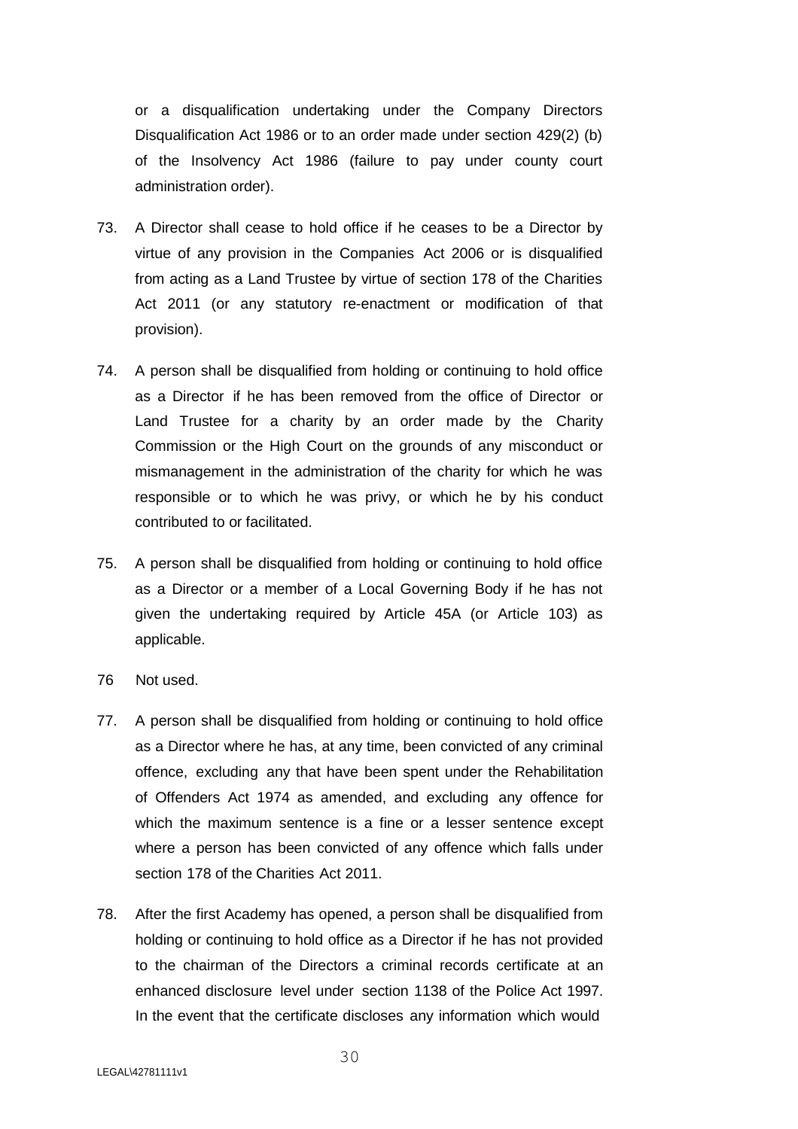or a disqualification undertaking under the Company Directors Disqualification Act 1986 or to an order made under section 429(2) (b) of the Insolvency Act 1986 (failure to pay under county court administration order).

- 73. A Director shall cease to hold office if he ceases to be a Director by virtue of any provision in the Companies Act 2006 or is disqualified from acting as a Land Trustee by virtue of section 178 of the Charities Act 2011 (or any statutory re-enactment or modification of that provision).
- 74. A person shall be disqualified from holding or continuing to hold office as a Director if he has been removed from the office of Director or Land Trustee for a charity by an order made by the Charity Commission or the High Court on the grounds of any misconduct or mismanagement in the administration of the charity for which he was responsible or to which he was privy, or which he by his conduct contributed to or facilitated.
- 75. A person shall be disqualified from holding or continuing to hold office as a Director or a member of a Local Governing Body if he has not given the undertaking required by Article 45A (or Article 103) as applicable.
- 76 Not used.
- 77. A person shall be disqualified from holding or continuing to hold office as a Director where he has, at any time, been convicted of any criminal offence, excluding any that have been spent under the Rehabilitation of Offenders Act 1974 as amended, and excluding any offence for which the maximum sentence is a fine or a lesser sentence except where a person has been convicted of any offence which falls under section 178 of the Charities Act 2011.
- 78. After the first Academy has opened, a person shall be disqualified from holding or continuing to hold office as a Director if he has not provided to the chairman of the Directors a criminal records certificate at an enhanced disclosure level under section 1138 of the Police Act 1997. In the event that the certificate discloses any information which would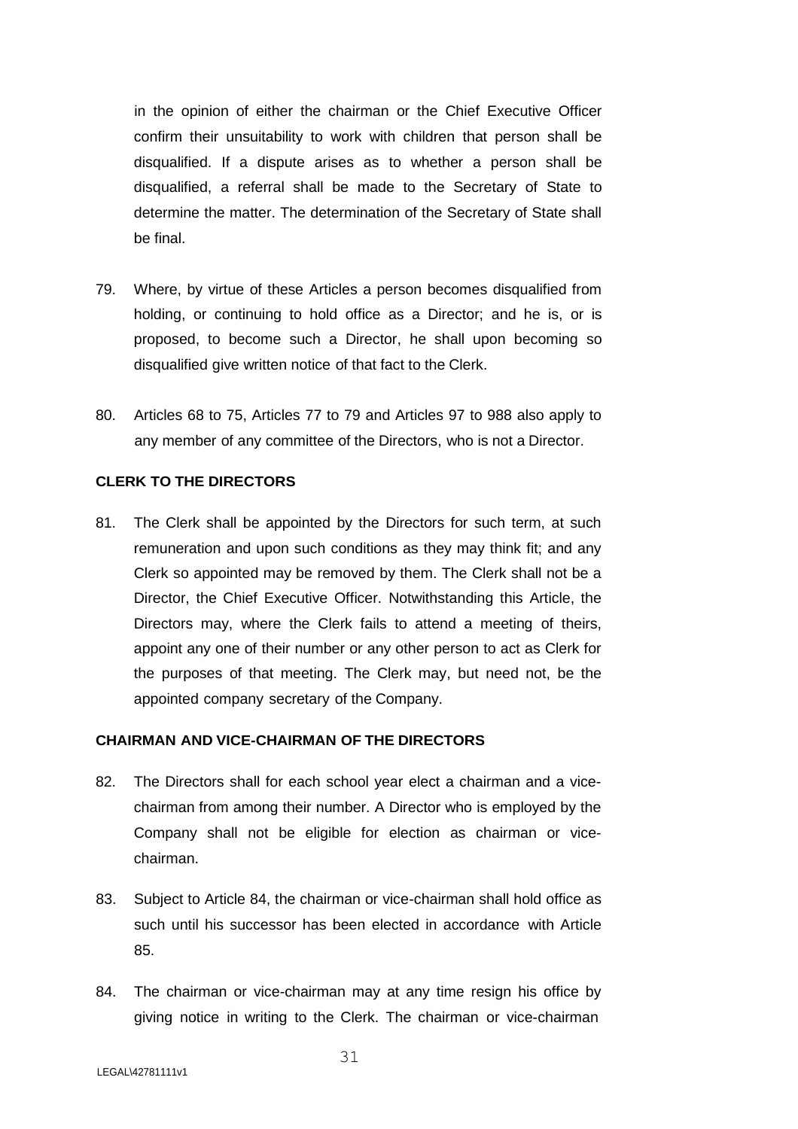in the opinion of either the chairman or the Chief Executive Officer confirm their unsuitability to work with children that person shall be disqualified. If a dispute arises as to whether a person shall be disqualified, a referral shall be made to the Secretary of State to determine the matter. The determination of the Secretary of State shall be final.

- 79. Where, by virtue of these Articles a person becomes disqualified from holding, or continuing to hold office as a Director; and he is, or is proposed, to become such a Director, he shall upon becoming so disqualified give written notice of that fact to the Clerk.
- 80. Articles 68 to 75, Articles 77 to 79 and Articles 97 to 988 also apply to any member of any committee of the Directors, who is not a Director.

## **CLERK TO THE DIRECTORS**

81. The Clerk shall be appointed by the Directors for such term, at such remuneration and upon such conditions as they may think fit; and any Clerk so appointed may be removed by them. The Clerk shall not be a Director, the Chief Executive Officer. Notwithstanding this Article, the Directors may, where the Clerk fails to attend a meeting of theirs, appoint any one of their number or any other person to act as Clerk for the purposes of that meeting. The Clerk may, but need not, be the appointed company secretary of the Company.

# **CHAIRMAN AND VICE-CHAIRMAN OF THE DIRECTORS**

- 82. The Directors shall for each school year elect a chairman and a vicechairman from among their number. A Director who is employed by the Company shall not be eligible for election as chairman or vicechairman.
- 83. Subject to Article 84, the chairman or vice-chairman shall hold office as such until his successor has been elected in accordance with Article 85.
- 84. The chairman or vice-chairman may at any time resign his office by giving notice in writing to the Clerk. The chairman or vice-chairman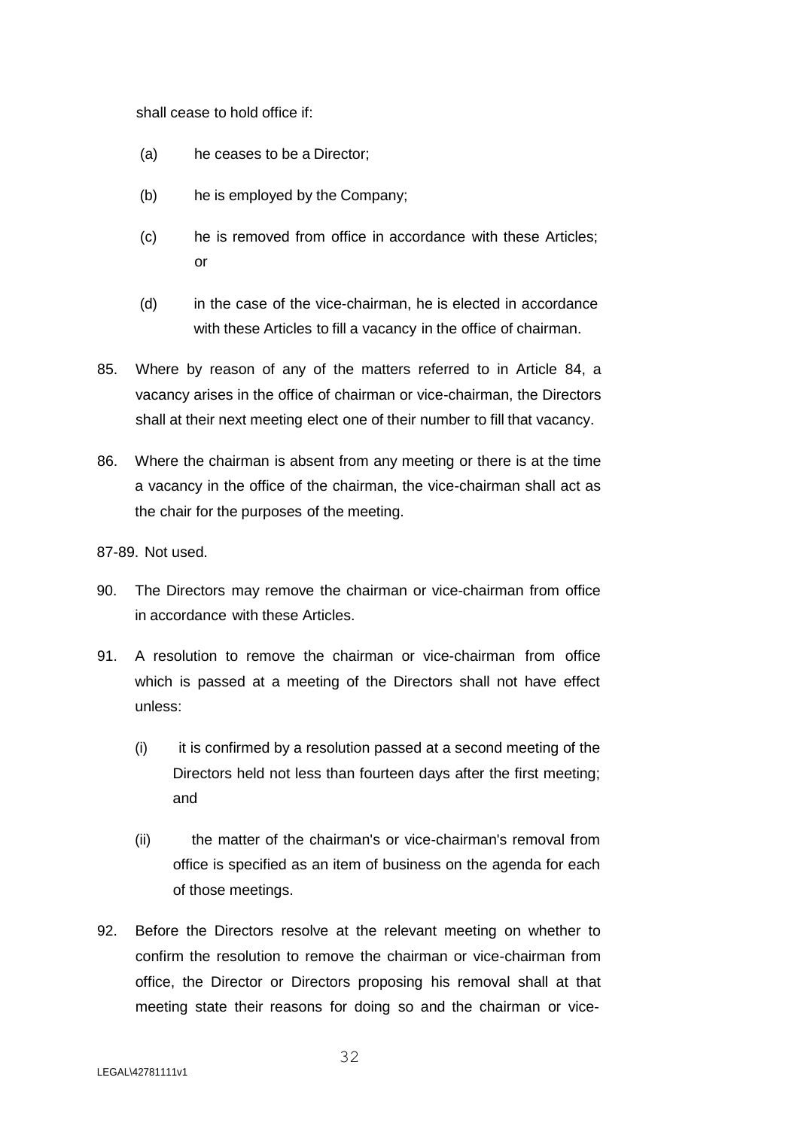shall cease to hold office if:

- (a) he ceases to be a Director;
- (b) he is employed by the Company;
- (c) he is removed from office in accordance with these Articles; or
- (d) in the case of the vice-chairman, he is elected in accordance with these Articles to fill a vacancy in the office of chairman.
- 85. Where by reason of any of the matters referred to in Article 84, a vacancy arises in the office of chairman or vice-chairman, the Directors shall at their next meeting elect one of their number to fill that vacancy.
- 86. Where the chairman is absent from any meeting or there is at the time a vacancy in the office of the chairman, the vice-chairman shall act as the chair for the purposes of the meeting.

87-89. Not used.

- 90. The Directors may remove the chairman or vice-chairman from office in accordance with these Articles.
- 91. A resolution to remove the chairman or vice-chairman from office which is passed at a meeting of the Directors shall not have effect unless:
	- (i) it is confirmed by a resolution passed at a second meeting of the Directors held not less than fourteen days after the first meeting; and
	- (ii) the matter of the chairman's or vice-chairman's removal from office is specified as an item of business on the agenda for each of those meetings.
- 92. Before the Directors resolve at the relevant meeting on whether to confirm the resolution to remove the chairman or vice-chairman from office, the Director or Directors proposing his removal shall at that meeting state their reasons for doing so and the chairman or vice-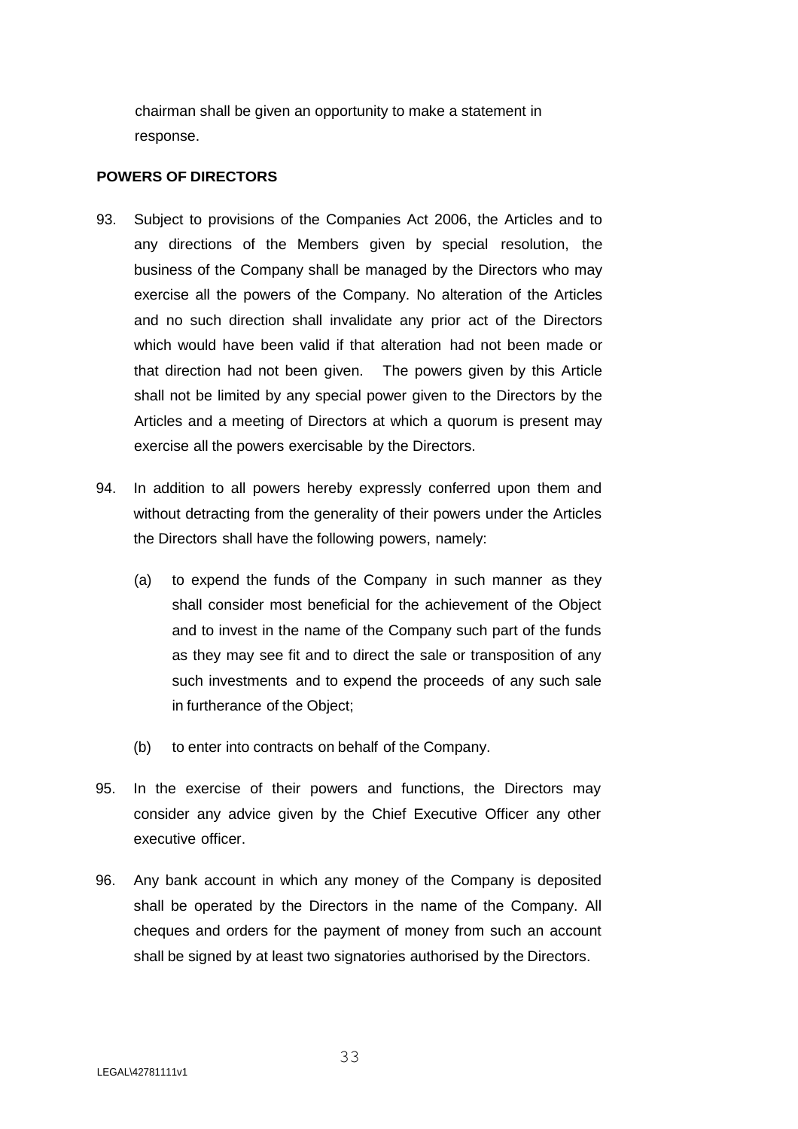chairman shall be given an opportunity to make a statement in response.

# **POWERS OF DIRECTORS**

- 93. Subject to provisions of the Companies Act 2006, the Articles and to any directions of the Members given by special resolution, the business of the Company shall be managed by the Directors who may exercise all the powers of the Company. No alteration of the Articles and no such direction shall invalidate any prior act of the Directors which would have been valid if that alteration had not been made or that direction had not been given. The powers given by this Article shall not be limited by any special power given to the Directors by the Articles and a meeting of Directors at which a quorum is present may exercise all the powers exercisable by the Directors.
- 94. In addition to all powers hereby expressly conferred upon them and without detracting from the generality of their powers under the Articles the Directors shall have the following powers, namely:
	- (a) to expend the funds of the Company in such manner as they shall consider most beneficial for the achievement of the Object and to invest in the name of the Company such part of the funds as they may see fit and to direct the sale or transposition of any such investments and to expend the proceeds of any such sale in furtherance of the Object;
	- (b) to enter into contracts on behalf of the Company.
- 95. In the exercise of their powers and functions, the Directors may consider any advice given by the Chief Executive Officer any other executive officer.
- 96. Any bank account in which any money of the Company is deposited shall be operated by the Directors in the name of the Company. All cheques and orders for the payment of money from such an account shall be signed by at least two signatories authorised by the Directors.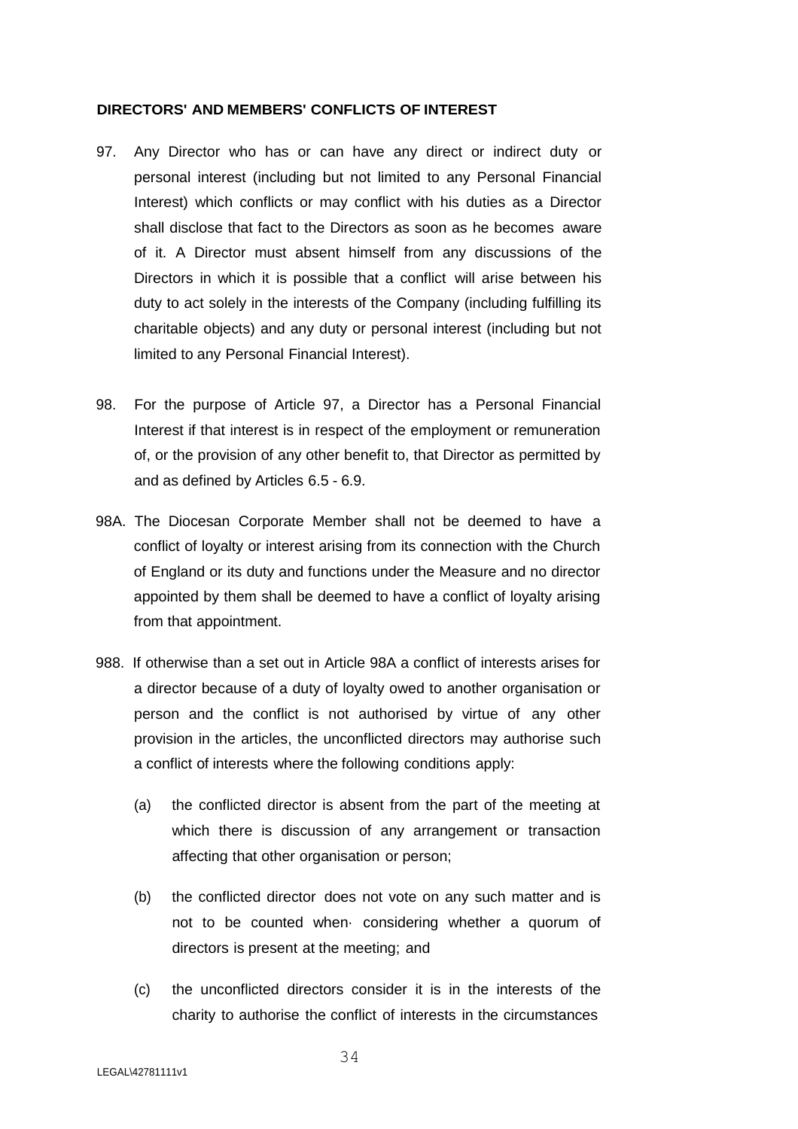## **DIRECTORS' AND MEMBERS' CONFLICTS OF INTEREST**

- 97. Any Director who has or can have any direct or indirect duty or personal interest (including but not limited to any Personal Financial Interest) which conflicts or may conflict with his duties as a Director shall disclose that fact to the Directors as soon as he becomes aware of it. A Director must absent himself from any discussions of the Directors in which it is possible that a conflict will arise between his duty to act solely in the interests of the Company (including fulfilling its charitable objects) and any duty or personal interest (including but not limited to any Personal Financial Interest).
- 98. For the purpose of Article 97, a Director has a Personal Financial Interest if that interest is in respect of the employment or remuneration of, or the provision of any other benefit to, that Director as permitted by and as defined by Articles 6.5 - 6.9.
- 98A. The Diocesan Corporate Member shall not be deemed to have a conflict of loyalty or interest arising from its connection with the Church of England or its duty and functions under the Measure and no director appointed by them shall be deemed to have a conflict of loyalty arising from that appointment.
- 988. If otherwise than a set out in Article 98A a conflict of interests arises for a director because of a duty of loyalty owed to another organisation or person and the conflict is not authorised by virtue of any other provision in the articles, the unconflicted directors may authorise such a conflict of interests where the following conditions apply:
	- (a) the conflicted director is absent from the part of the meeting at which there is discussion of any arrangement or transaction affecting that other organisation or person;
	- (b) the conflicted director does not vote on any such matter and is not to be counted when· considering whether a quorum of directors is present at the meeting; and
	- (c) the unconflicted directors consider it is in the interests of the charity to authorise the conflict of interests in the circumstances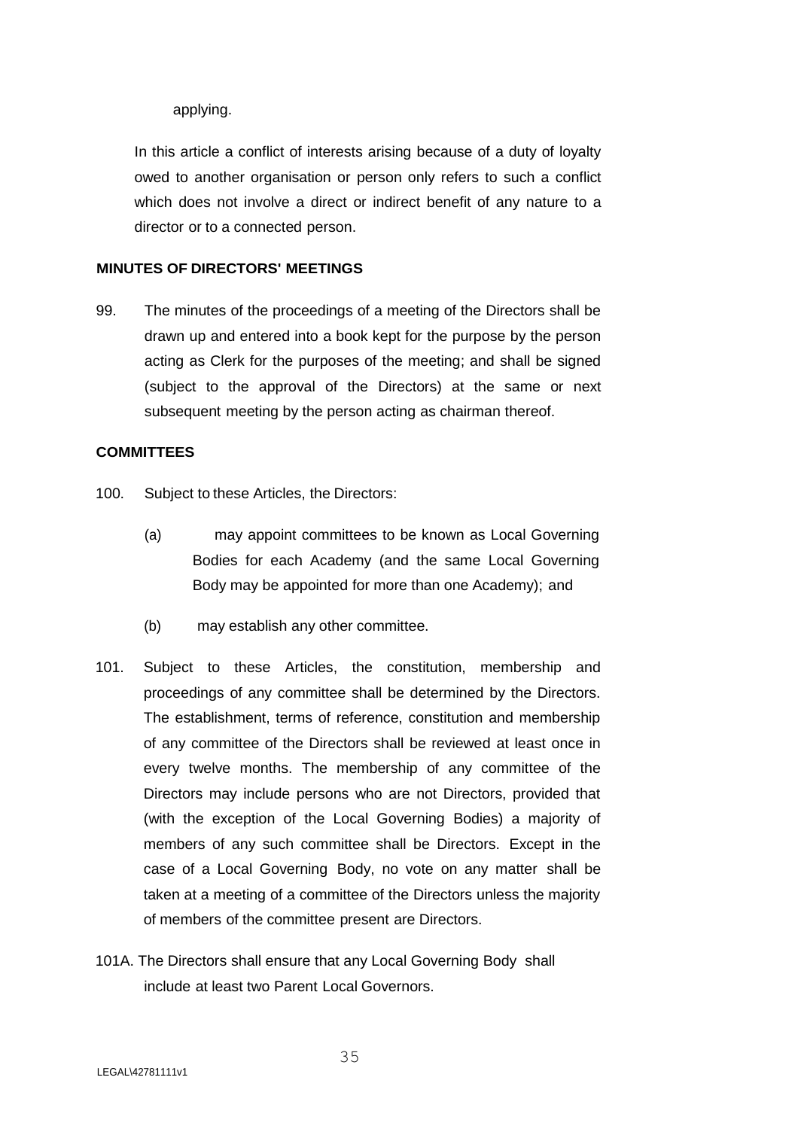applying.

In this article a conflict of interests arising because of a duty of loyalty owed to another organisation or person only refers to such a conflict which does not involve a direct or indirect benefit of any nature to a director or to a connected person.

# **MINUTES OF DIRECTORS' MEETINGS**

99. The minutes of the proceedings of a meeting of the Directors shall be drawn up and entered into a book kept for the purpose by the person acting as Clerk for the purposes of the meeting; and shall be signed (subject to the approval of the Directors) at the same or next subsequent meeting by the person acting as chairman thereof.

## **COMMITTEES**

- 100. Subject to these Articles, the Directors:
	- (a) may appoint committees to be known as Local Governing Bodies for each Academy (and the same Local Governing Body may be appointed for more than one Academy); and
	- (b) may establish any other committee.
- 101. Subject to these Articles, the constitution, membership and proceedings of any committee shall be determined by the Directors. The establishment, terms of reference, constitution and membership of any committee of the Directors shall be reviewed at least once in every twelve months. The membership of any committee of the Directors may include persons who are not Directors, provided that (with the exception of the Local Governing Bodies) a majority of members of any such committee shall be Directors. Except in the case of a Local Governing Body, no vote on any matter shall be taken at a meeting of a committee of the Directors unless the majority of members of the committee present are Directors.
- 101A. The Directors shall ensure that any Local Governing Body shall include at least two Parent Local Governors.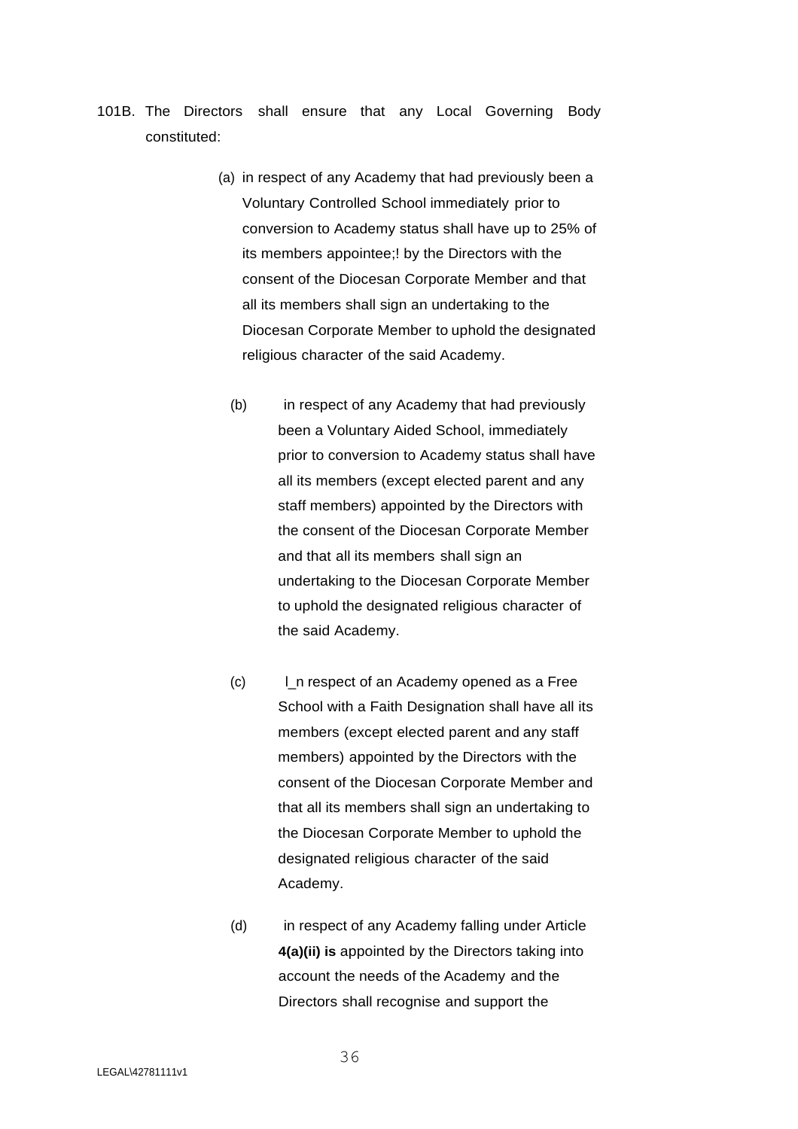- 101B. The Directors shall ensure that any Local Governing Body constituted:
	- (a) in respect of any Academy that had previously been a Voluntary Controlled School immediately prior to conversion to Academy status shall have up to 25% of its members appointee;! by the Directors with the consent of the Diocesan Corporate Member and that all its members shall sign an undertaking to the Diocesan Corporate Member to uphold the designated religious character of the said Academy.
		- (b) in respect of any Academy that had previously been a Voluntary Aided School, immediately prior to conversion to Academy status shall have all its members (except elected parent and any staff members) appointed by the Directors with the consent of the Diocesan Corporate Member and that all its members shall sign an undertaking to the Diocesan Corporate Member to uphold the designated religious character of the said Academy.
		- (c) l\_n respect of an Academy opened as a Free School with a Faith Designation shall have all its members (except elected parent and any staff members) appointed by the Directors with the consent of the Diocesan Corporate Member and that all its members shall sign an undertaking to the Diocesan Corporate Member to uphold the designated religious character of the said Academy.
		- (d) in respect of any Academy falling under Article **4(a)(ii) is** appointed by the Directors taking into account the needs of the Academy and the Directors shall recognise and support the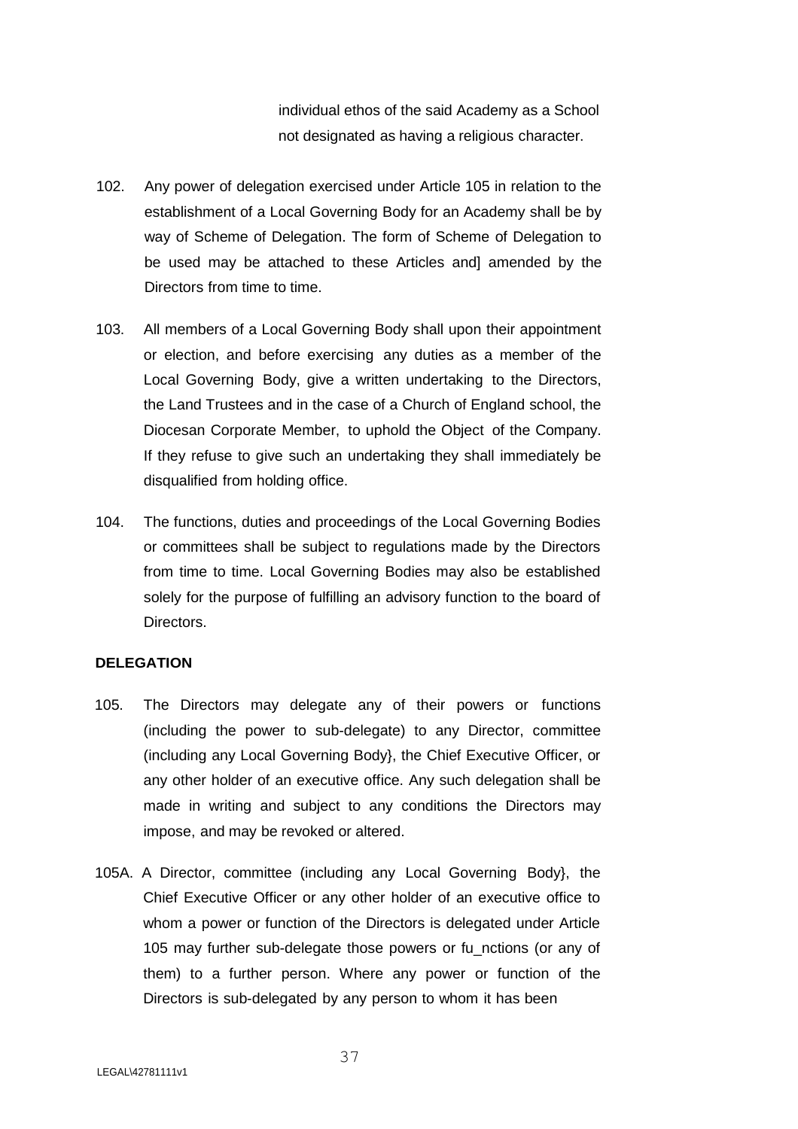individual ethos of the said Academy as a School not designated as having a religious character.

- 102. Any power of delegation exercised under Article 105 in relation to the establishment of a Local Governing Body for an Academy shall be by way of Scheme of Delegation. The form of Scheme of Delegation to be used may be attached to these Articles and] amended by the Directors from time to time.
- 103. All members of a Local Governing Body shall upon their appointment or election, and before exercising any duties as a member of the Local Governing Body, give a written undertaking to the Directors, the Land Trustees and in the case of a Church of England school, the Diocesan Corporate Member, to uphold the Object of the Company. If they refuse to give such an undertaking they shall immediately be disqualified from holding office.
- 104. The functions, duties and proceedings of the Local Governing Bodies or committees shall be subject to regulations made by the Directors from time to time. Local Governing Bodies may also be established solely for the purpose of fulfilling an advisory function to the board of Directors.

## **DELEGATION**

- 105. The Directors may delegate any of their powers or functions (including the power to sub-delegate) to any Director, committee (including any Local Governing Body}, the Chief Executive Officer, or any other holder of an executive office. Any such delegation shall be made in writing and subject to any conditions the Directors may impose, and may be revoked or altered.
- 105A. A Director, committee (including any Local Governing Body}, the Chief Executive Officer or any other holder of an executive office to whom a power or function of the Directors is delegated under Article 105 may further sub-delegate those powers or fu\_nctions (or any of them) to a further person. Where any power or function of the Directors is sub-delegated by any person to whom it has been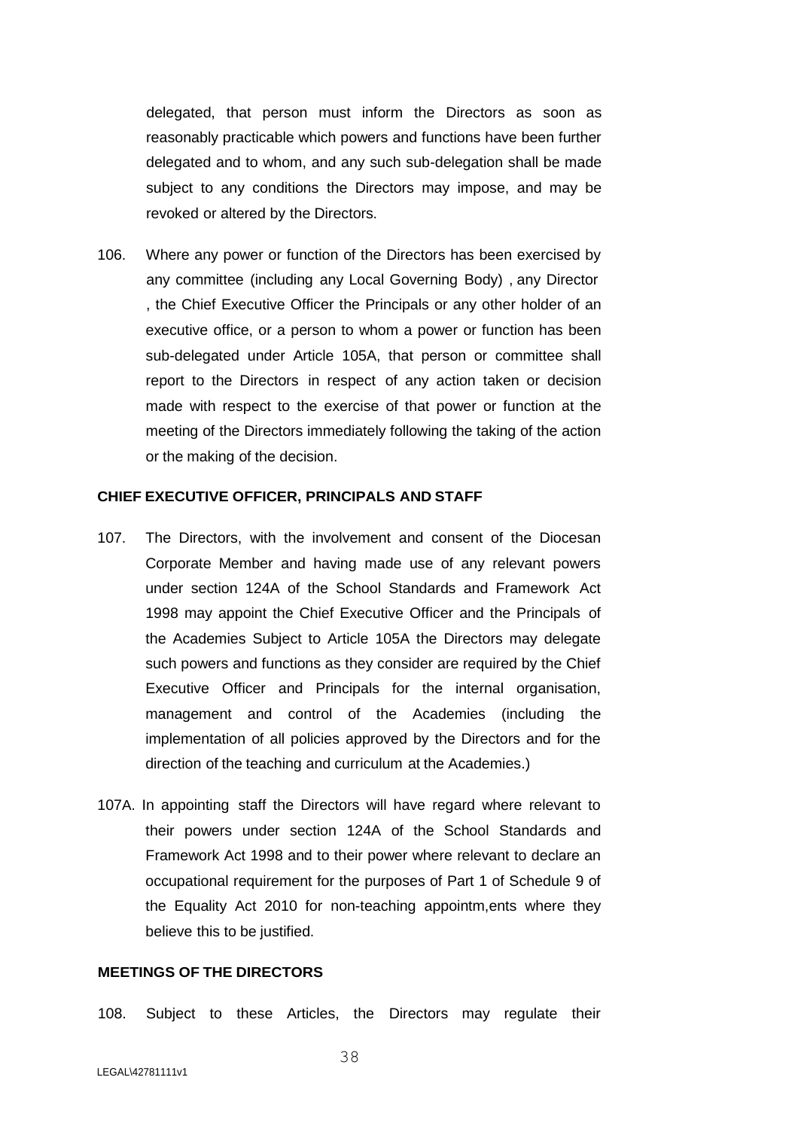delegated, that person must inform the Directors as soon as reasonably practicable which powers and functions have been further delegated and to whom, and any such sub-delegation shall be made subject to any conditions the Directors may impose, and may be revoked or altered by the Directors.

106. Where any power or function of the Directors has been exercised by any committee (including any Local Governing Body) , any Director , the Chief Executive Officer the Principals or any other holder of an executive office, or a person to whom a power or function has been sub-delegated under Article 105A, that person or committee shall report to the Directors in respect of any action taken or decision made with respect to the exercise of that power or function at the meeting of the Directors immediately following the taking of the action or the making of the decision.

#### **CHIEF EXECUTIVE OFFICER, PRINCIPALS AND STAFF**

- 107. The Directors, with the involvement and consent of the Diocesan Corporate Member and having made use of any relevant powers under section 124A of the School Standards and Framework Act 1998 may appoint the Chief Executive Officer and the Principals of the Academies Subject to Article 105A the Directors may delegate such powers and functions as they consider are required by the Chief Executive Officer and Principals for the internal organisation, management and control of the Academies (including the implementation of all policies approved by the Directors and for the direction of the teaching and curriculum at the Academies.)
- 107A. In appointing staff the Directors will have regard where relevant to their powers under section 124A of the School Standards and Framework Act 1998 and to their power where relevant to declare an occupational requirement for the purposes of Part 1 of Schedule 9 of the Equality Act 2010 for non-teaching appointm,ents where they believe this to be justified.

## **MEETINGS OF THE DIRECTORS**

108. Subject to these Articles, the Directors may regulate their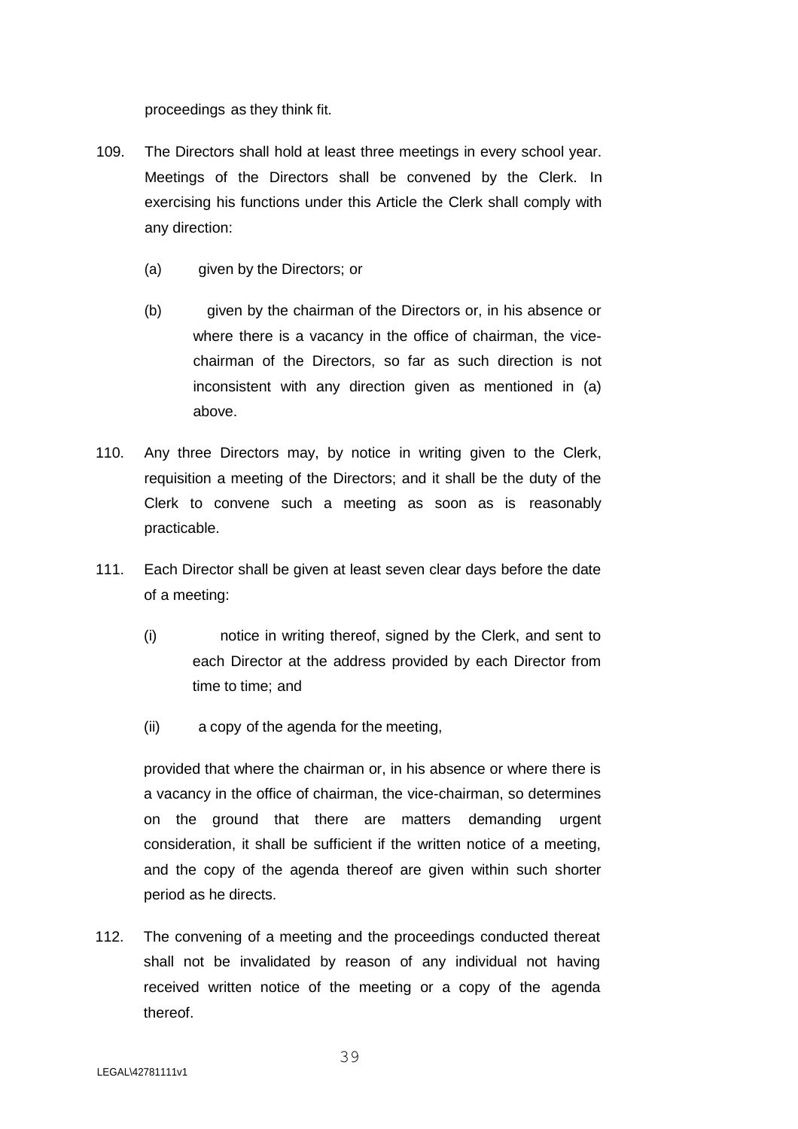proceedings as they think fit.

- 109. The Directors shall hold at least three meetings in every school year. Meetings of the Directors shall be convened by the Clerk. In exercising his functions under this Article the Clerk shall comply with any direction:
	- (a) given by the Directors; or
	- (b) given by the chairman of the Directors or, in his absence or where there is a vacancy in the office of chairman, the vicechairman of the Directors, so far as such direction is not inconsistent with any direction given as mentioned in (a) above.
- 110. Any three Directors may, by notice in writing given to the Clerk, requisition a meeting of the Directors; and it shall be the duty of the Clerk to convene such a meeting as soon as is reasonably practicable.
- 111. Each Director shall be given at least seven clear days before the date of a meeting:
	- (i) notice in writing thereof, signed by the Clerk, and sent to each Director at the address provided by each Director from time to time; and
	- (ii) a copy of the agenda for the meeting,

provided that where the chairman or, in his absence or where there is a vacancy in the office of chairman, the vice-chairman, so determines on the ground that there are matters demanding urgent consideration, it shall be sufficient if the written notice of a meeting, and the copy of the agenda thereof are given within such shorter period as he directs.

112. The convening of a meeting and the proceedings conducted thereat shall not be invalidated by reason of any individual not having received written notice of the meeting or a copy of the agenda thereof.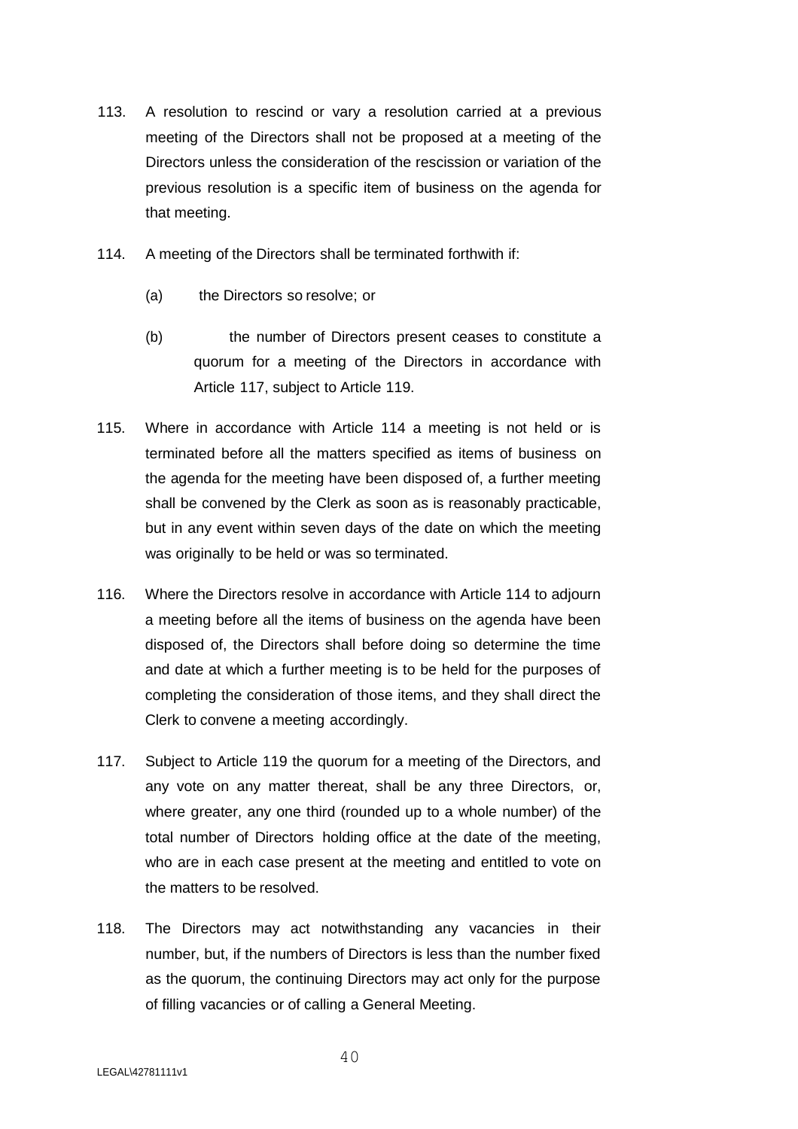- 113. A resolution to rescind or vary a resolution carried at a previous meeting of the Directors shall not be proposed at a meeting of the Directors unless the consideration of the rescission or variation of the previous resolution is a specific item of business on the agenda for that meeting.
- 114. A meeting of the Directors shall be terminated forthwith if:
	- (a) the Directors so resolve; or
	- (b) the number of Directors present ceases to constitute a quorum for a meeting of the Directors in accordance with Article 117, subject to Article 119.
- 115. Where in accordance with Article 114 a meeting is not held or is terminated before all the matters specified as items of business on the agenda for the meeting have been disposed of, a further meeting shall be convened by the Clerk as soon as is reasonably practicable, but in any event within seven days of the date on which the meeting was originally to be held or was so terminated.
- 116. Where the Directors resolve in accordance with Article 114 to adjourn a meeting before all the items of business on the agenda have been disposed of, the Directors shall before doing so determine the time and date at which a further meeting is to be held for the purposes of completing the consideration of those items, and they shall direct the Clerk to convene a meeting accordingly.
- 117. Subject to Article 119 the quorum for a meeting of the Directors, and any vote on any matter thereat, shall be any three Directors, or, where greater, any one third (rounded up to a whole number) of the total number of Directors holding office at the date of the meeting, who are in each case present at the meeting and entitled to vote on the matters to be resolved.
- 118. The Directors may act notwithstanding any vacancies in their number, but, if the numbers of Directors is less than the number fixed as the quorum, the continuing Directors may act only for the purpose of filling vacancies or of calling a General Meeting.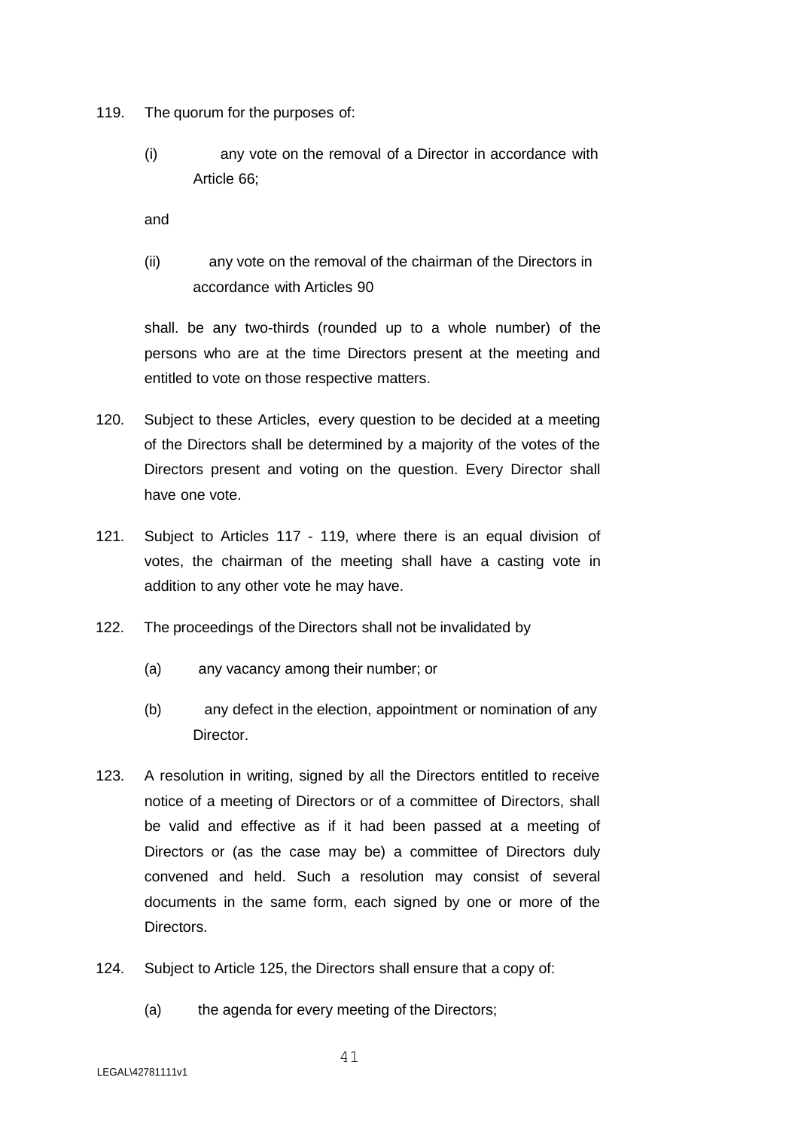- 119. The quorum for the purposes of:
	- (i) any vote on the removal of a Director in accordance with Article 66;

and

(ii) any vote on the removal of the chairman of the Directors in accordance with Articles 90

shall. be any two-thirds (rounded up to a whole number) of the persons who are at the time Directors present at the meeting and entitled to vote on those respective matters.

- 120. Subject to these Articles, every question to be decided at a meeting of the Directors shall be determined by a majority of the votes of the Directors present and voting on the question. Every Director shall have one vote.
- 121. Subject to Articles 117 119, where there is an equal division of votes, the chairman of the meeting shall have a casting vote in addition to any other vote he may have.
- 122. The proceedings of the Directors shall not be invalidated by
	- (a) any vacancy among their number; or
	- (b) any defect in the election, appointment or nomination of any Director.
- 123. A resolution in writing, signed by all the Directors entitled to receive notice of a meeting of Directors or of a committee of Directors, shall be valid and effective as if it had been passed at a meeting of Directors or (as the case may be) a committee of Directors duly convened and held. Such a resolution may consist of several documents in the same form, each signed by one or more of the **Directors**
- 124. Subject to Article 125, the Directors shall ensure that a copy of:
	- (a) the agenda for every meeting of the Directors;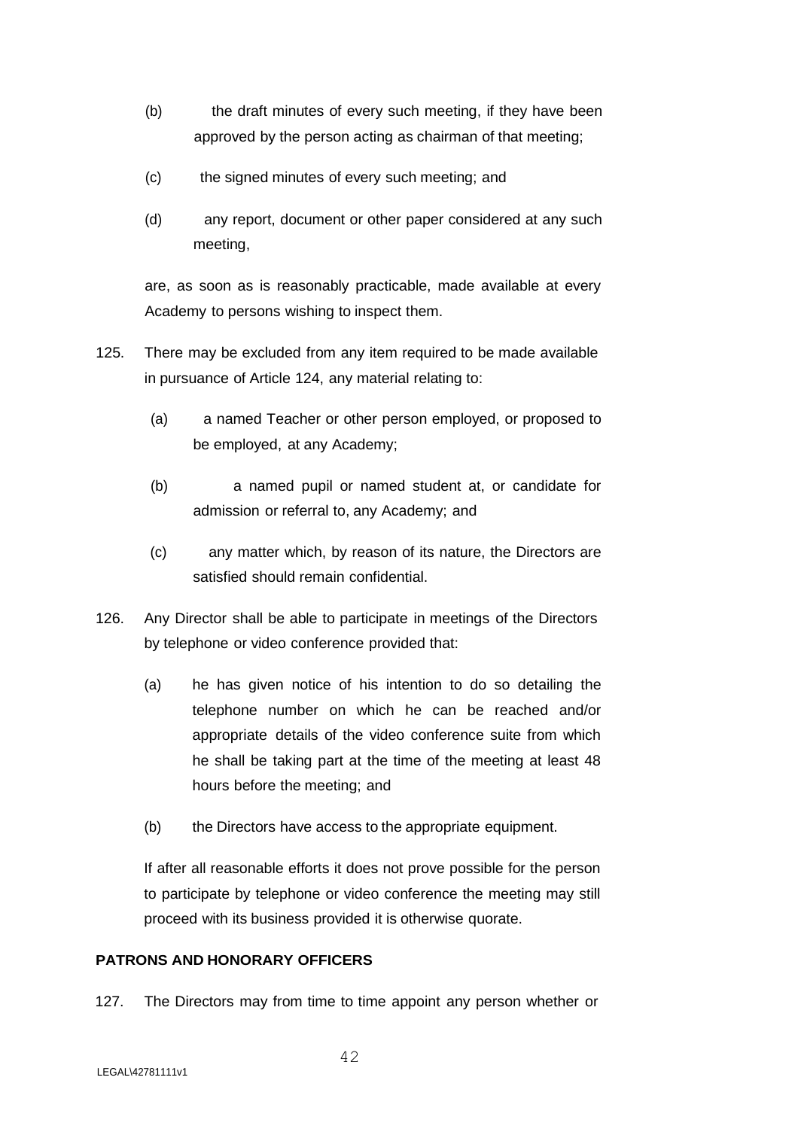- (b) the draft minutes of every such meeting, if they have been approved by the person acting as chairman of that meeting;
- (c) the signed minutes of every such meeting; and
- (d) any report, document or other paper considered at any such meeting,

are, as soon as is reasonably practicable, made available at every Academy to persons wishing to inspect them.

- 125. There may be excluded from any item required to be made available in pursuance of Article 124, any material relating to:
	- (a) a named Teacher or other person employed, or proposed to be employed, at any Academy;
	- (b) a named pupil or named student at, or candidate for admission or referral to, any Academy; and
	- (c) any matter which, by reason of its nature, the Directors are satisfied should remain confidential.
- 126. Any Director shall be able to participate in meetings of the Directors by telephone or video conference provided that:
	- (a) he has given notice of his intention to do so detailing the telephone number on which he can be reached and/or appropriate details of the video conference suite from which he shall be taking part at the time of the meeting at least 48 hours before the meeting; and
	- (b) the Directors have access to the appropriate equipment.

If after all reasonable efforts it does not prove possible for the person to participate by telephone or video conference the meeting may still proceed with its business provided it is otherwise quorate.

# **PATRONS AND HONORARY OFFICERS**

127. The Directors may from time to time appoint any person whether or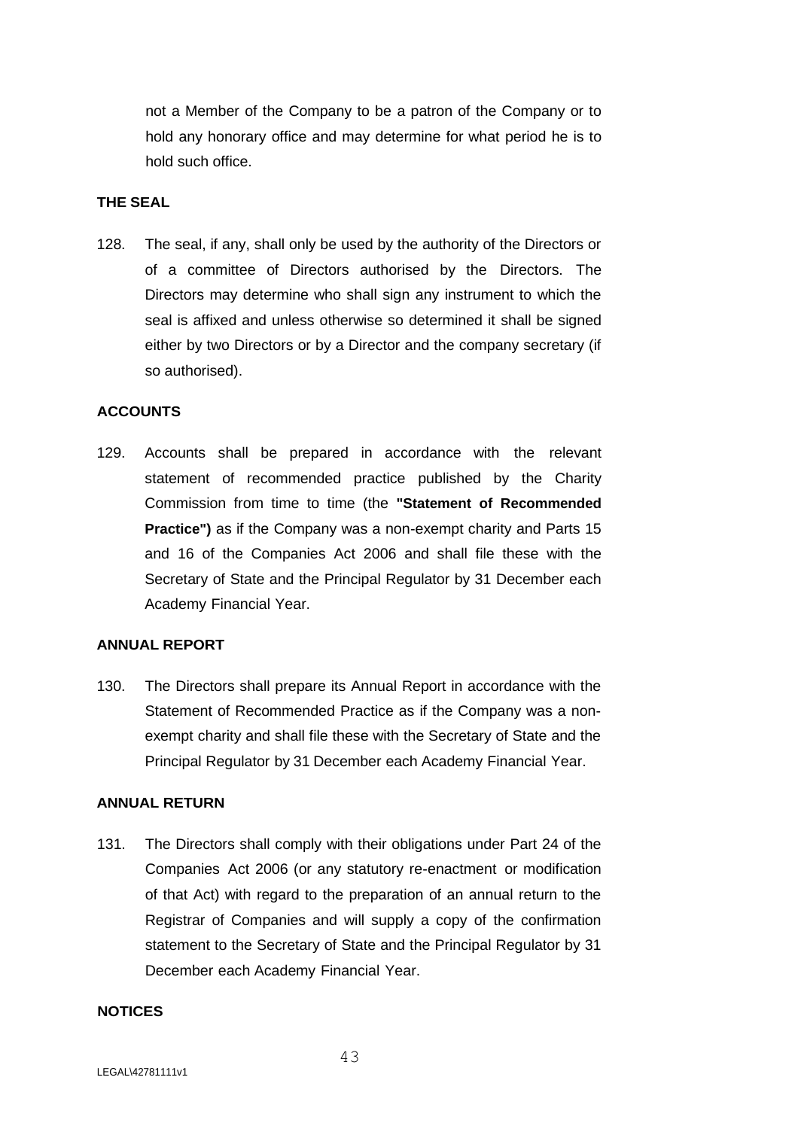not a Member of the Company to be a patron of the Company or to hold any honorary office and may determine for what period he is to hold such office.

# **THE SEAL**

128. The seal, if any, shall only be used by the authority of the Directors or of a committee of Directors authorised by the Directors. The Directors may determine who shall sign any instrument to which the seal is affixed and unless otherwise so determined it shall be signed either by two Directors or by a Director and the company secretary (if so authorised).

## **ACCOUNTS**

129. Accounts shall be prepared in accordance with the relevant statement of recommended practice published by the Charity Commission from time to time (the **"Statement of Recommended Practice")** as if the Company was a non-exempt charity and Parts 15 and 16 of the Companies Act 2006 and shall file these with the Secretary of State and the Principal Regulator by 31 December each Academy Financial Year.

## **ANNUAL REPORT**

130. The Directors shall prepare its Annual Report in accordance with the Statement of Recommended Practice as if the Company was a nonexempt charity and shall file these with the Secretary of State and the Principal Regulator by 31 December each Academy Financial Year.

## **ANNUAL RETURN**

131. The Directors shall comply with their obligations under Part 24 of the Companies Act 2006 (or any statutory re-enactment or modification of that Act) with regard to the preparation of an annual return to the Registrar of Companies and will supply a copy of the confirmation statement to the Secretary of State and the Principal Regulator by 31 December each Academy Financial Year.

#### **NOTICES**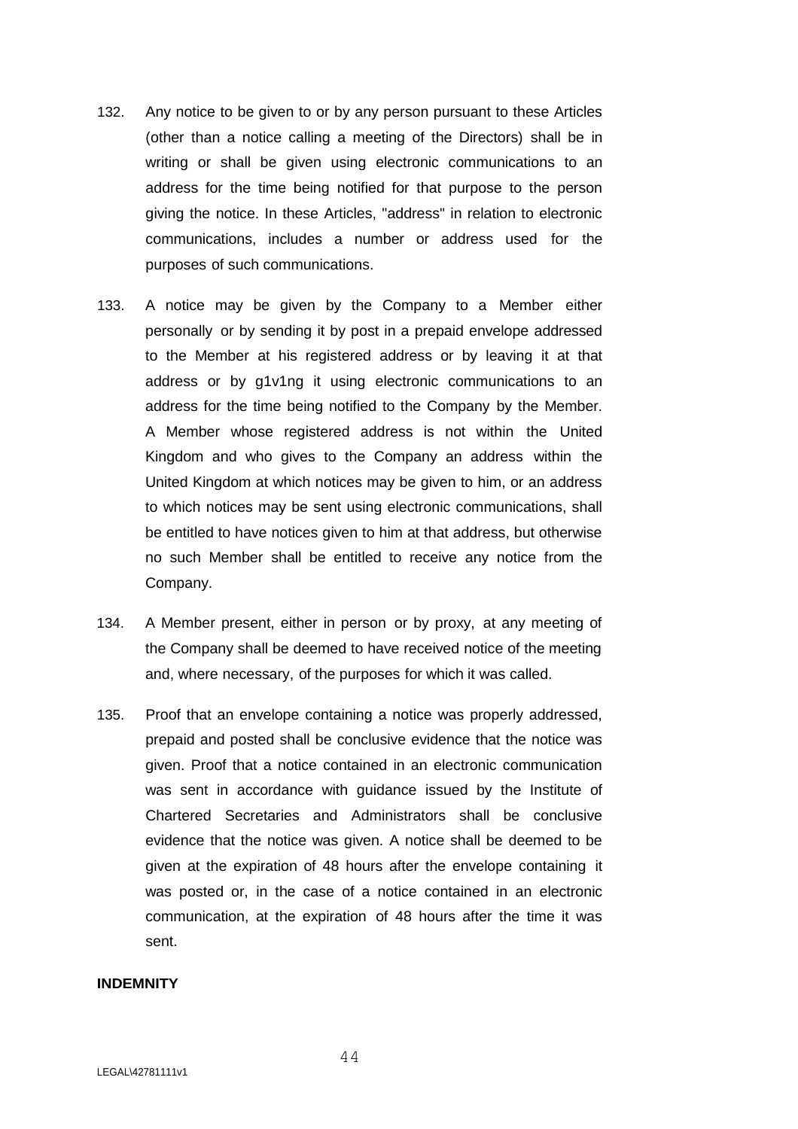- 132. Any notice to be given to or by any person pursuant to these Articles (other than a notice calling a meeting of the Directors) shall be in writing or shall be given using electronic communications to an address for the time being notified for that purpose to the person giving the notice. In these Articles, "address" in relation to electronic communications, includes a number or address used for the purposes of such communications.
- 133. A notice may be given by the Company to a Member either personally or by sending it by post in a prepaid envelope addressed to the Member at his registered address or by leaving it at that address or by g1v1ng it using electronic communications to an address for the time being notified to the Company by the Member. A Member whose registered address is not within the United Kingdom and who gives to the Company an address within the United Kingdom at which notices may be given to him, or an address to which notices may be sent using electronic communications, shall be entitled to have notices given to him at that address, but otherwise no such Member shall be entitled to receive any notice from the Company.
- 134. A Member present, either in person or by proxy, at any meeting of the Company shall be deemed to have received notice of the meeting and, where necessary, of the purposes for which it was called.
- 135. Proof that an envelope containing a notice was properly addressed, prepaid and posted shall be conclusive evidence that the notice was given. Proof that a notice contained in an electronic communication was sent in accordance with guidance issued by the Institute of Chartered Secretaries and Administrators shall be conclusive evidence that the notice was given. A notice shall be deemed to be given at the expiration of 48 hours after the envelope containing it was posted or, in the case of a notice contained in an electronic communication, at the expiration of 48 hours after the time it was sent.

#### **INDEMNITY**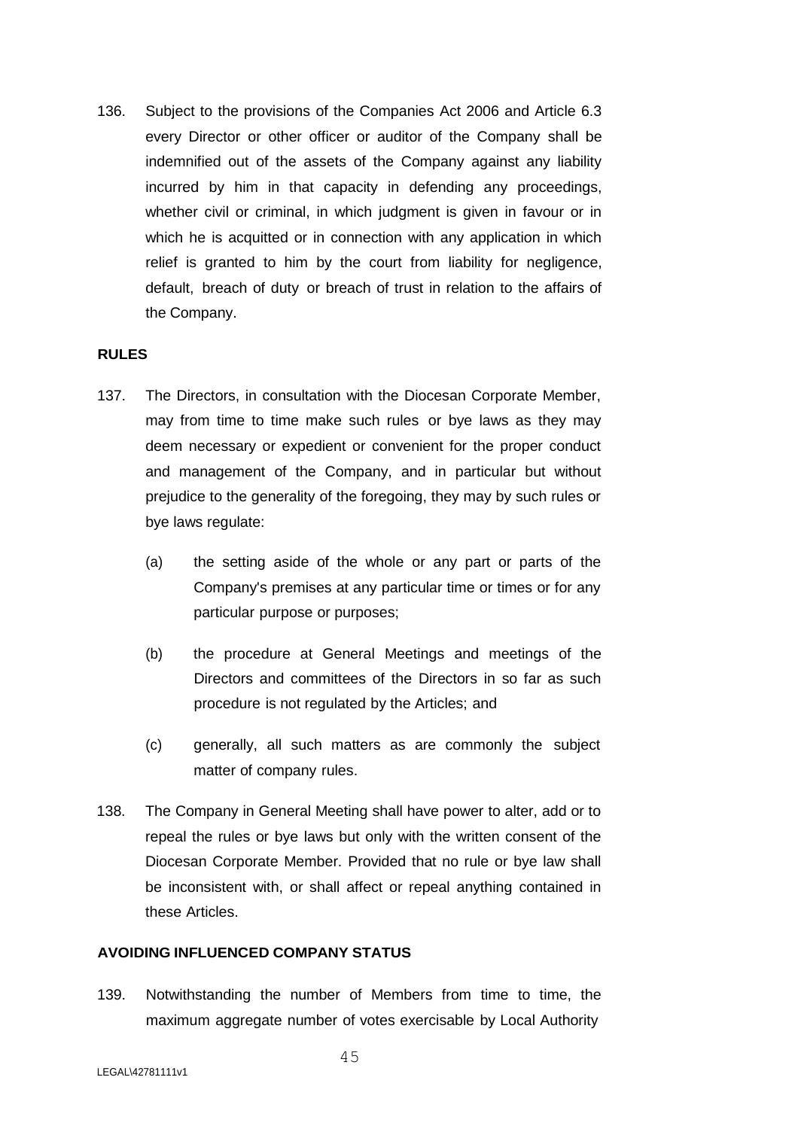136. Subject to the provisions of the Companies Act 2006 and Article 6.3 every Director or other officer or auditor of the Company shall be indemnified out of the assets of the Company against any liability incurred by him in that capacity in defending any proceedings, whether civil or criminal, in which judgment is given in favour or in which he is acquitted or in connection with any application in which relief is granted to him by the court from liability for negligence, default, breach of duty or breach of trust in relation to the affairs of the Company.

## **RULES**

- 137. The Directors, in consultation with the Diocesan Corporate Member, may from time to time make such rules or bye laws as they may deem necessary or expedient or convenient for the proper conduct and management of the Company, and in particular but without prejudice to the generality of the foregoing, they may by such rules or bye laws regulate:
	- (a) the setting aside of the whole or any part or parts of the Company's premises at any particular time or times or for any particular purpose or purposes;
	- (b) the procedure at General Meetings and meetings of the Directors and committees of the Directors in so far as such procedure is not regulated by the Articles; and
	- (c) generally, all such matters as are commonly the subject matter of company rules.
- 138. The Company in General Meeting shall have power to alter, add or to repeal the rules or bye laws but only with the written consent of the Diocesan Corporate Member. Provided that no rule or bye law shall be inconsistent with, or shall affect or repeal anything contained in these Articles.

## **AVOIDING INFLUENCED COMPANY STATUS**

139. Notwithstanding the number of Members from time to time, the maximum aggregate number of votes exercisable by Local Authority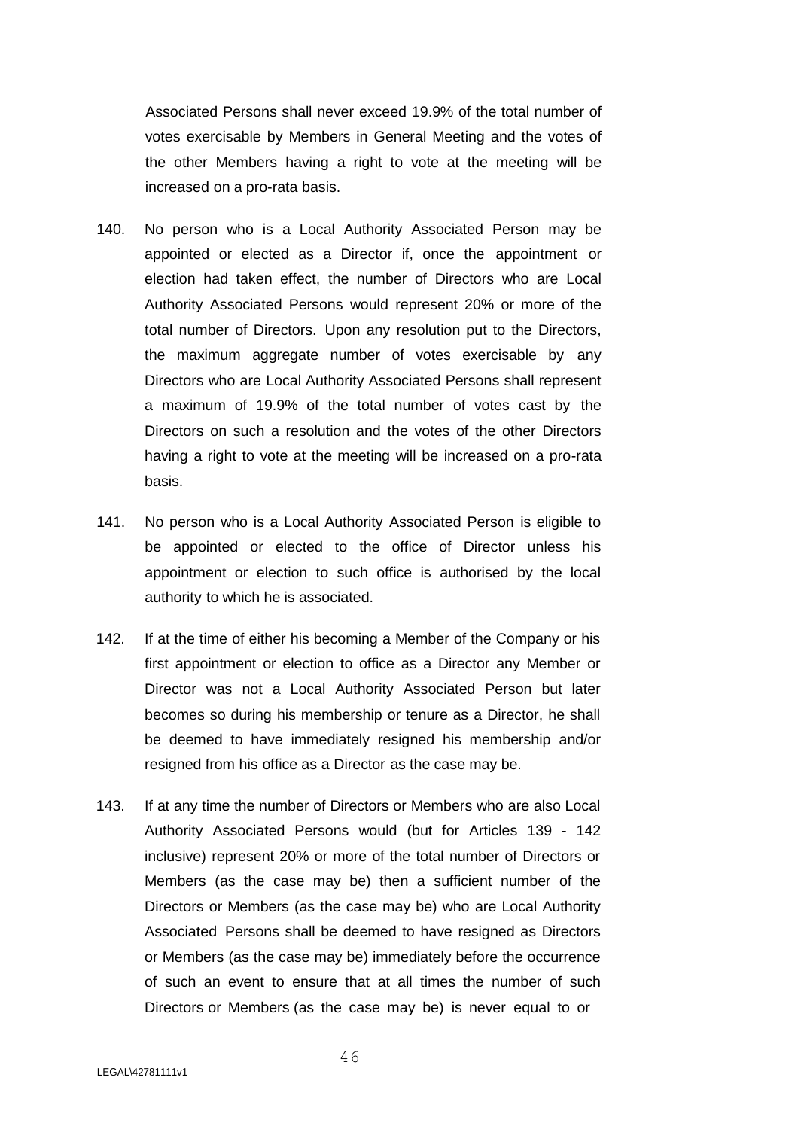Associated Persons shall never exceed 19.9% of the total number of votes exercisable by Members in General Meeting and the votes of the other Members having a right to vote at the meeting will be increased on a pro-rata basis.

- 140. No person who is a Local Authority Associated Person may be appointed or elected as a Director if, once the appointment or election had taken effect, the number of Directors who are Local Authority Associated Persons would represent 20% or more of the total number of Directors. Upon any resolution put to the Directors, the maximum aggregate number of votes exercisable by any Directors who are Local Authority Associated Persons shall represent a maximum of 19.9% of the total number of votes cast by the Directors on such a resolution and the votes of the other Directors having a right to vote at the meeting will be increased on a pro-rata basis.
- 141. No person who is a Local Authority Associated Person is eligible to be appointed or elected to the office of Director unless his appointment or election to such office is authorised by the local authority to which he is associated.
- 142. If at the time of either his becoming a Member of the Company or his first appointment or election to office as a Director any Member or Director was not a Local Authority Associated Person but later becomes so during his membership or tenure as a Director, he shall be deemed to have immediately resigned his membership and/or resigned from his office as a Director as the case may be.
- 143. If at any time the number of Directors or Members who are also Local Authority Associated Persons would (but for Articles 139 - 142 inclusive) represent 20% or more of the total number of Directors or Members (as the case may be) then a sufficient number of the Directors or Members (as the case may be) who are Local Authority Associated Persons shall be deemed to have resigned as Directors or Members (as the case may be) immediately before the occurrence of such an event to ensure that at all times the number of such Directors or Members (as the case may be) is never equal to or